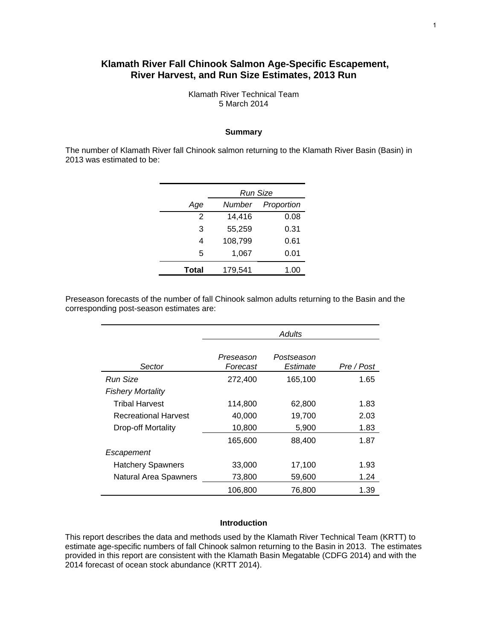## **Klamath River Fall Chinook Salmon Age-Specific Escapement, River Harvest, and Run Size Estimates, 2013 Run**

Klamath River Technical Team 5 March 2014

#### **Summary**

The number of Klamath River fall Chinook salmon returning to the Klamath River Basin (Basin) in 2013 was estimated to be:

|       | Run Size |            |  |  |  |  |
|-------|----------|------------|--|--|--|--|
| Age   | Number   | Proportion |  |  |  |  |
| 2     | 14,416   | 0.08       |  |  |  |  |
| 3     | 55,259   | 0.31       |  |  |  |  |
| 4     | 108,799  | 0.61       |  |  |  |  |
| 5     | 1,067    | 0.01       |  |  |  |  |
| Total | 179,541  | 1.00       |  |  |  |  |

Preseason forecasts of the number of fall Chinook salmon adults returning to the Basin and the corresponding post-season estimates are:

|                             | Adults                |                        |            |  |  |
|-----------------------------|-----------------------|------------------------|------------|--|--|
| Sector                      | Preseason<br>Forecast | Postseason<br>Estimate | Pre / Post |  |  |
| <b>Run Size</b>             | 272,400               | 165,100                | 1.65       |  |  |
| <b>Fishery Mortality</b>    |                       |                        |            |  |  |
| <b>Tribal Harvest</b>       | 114,800               | 62,800                 | 1.83       |  |  |
| <b>Recreational Harvest</b> | 40,000                | 19,700                 | 2.03       |  |  |
| Drop-off Mortality          | 10,800                | 5,900                  | 1.83       |  |  |
|                             | 165,600               | 88,400                 | 1.87       |  |  |
| Escapement                  |                       |                        |            |  |  |
| <b>Hatchery Spawners</b>    | 33,000                | 17,100                 | 1.93       |  |  |
| Natural Area Spawners       | 73,800                | 59,600                 | 1.24       |  |  |
|                             | 106,800               | 76,800                 | 1.39       |  |  |

#### **Introduction**

This report describes the data and methods used by the Klamath River Technical Team (KRTT) to estimate age-specific numbers of fall Chinook salmon returning to the Basin in 2013. The estimates provided in this report are consistent with the Klamath Basin Megatable (CDFG 2014) and with the 2014 forecast of ocean stock abundance (KRTT 2014).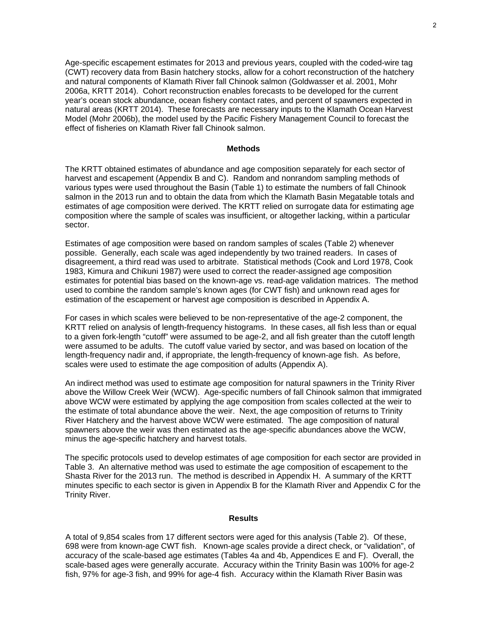Age-specific escapement estimates for 2013 and previous years, coupled with the coded-wire tag (CWT) recovery data from Basin hatchery stocks, allow for a cohort reconstruction of the hatchery and natural components of Klamath River fall Chinook salmon (Goldwasser et al. 2001, Mohr 2006a, KRTT 2014). Cohort reconstruction enables forecasts to be developed for the current year's ocean stock abundance, ocean fishery contact rates, and percent of spawners expected in natural areas (KRTT 2014). These forecasts are necessary inputs to the Klamath Ocean Harvest Model (Mohr 2006b), the model used by the Pacific Fishery Management Council to forecast the effect of fisheries on Klamath River fall Chinook salmon.

#### **Methods**

The KRTT obtained estimates of abundance and age composition separately for each sector of harvest and escapement (Appendix B and C). Random and nonrandom sampling methods of various types were used throughout the Basin (Table 1) to estimate the numbers of fall Chinook salmon in the 2013 run and to obtain the data from which the Klamath Basin Megatable totals and estimates of age composition were derived. The KRTT relied on surrogate data for estimating age composition where the sample of scales was insufficient, or altogether lacking, within a particular sector.

Estimates of age composition were based on random samples of scales (Table 2) whenever possible. Generally, each scale was aged independently by two trained readers. In cases of disagreement, a third read was used to arbitrate. Statistical methods (Cook and Lord 1978, Cook 1983, Kimura and Chikuni 1987) were used to correct the reader-assigned age composition estimates for potential bias based on the known-age vs. read-age validation matrices. The method used to combine the random sample's known ages (for CWT fish) and unknown read ages for estimation of the escapement or harvest age composition is described in Appendix A.

For cases in which scales were believed to be non-representative of the age-2 component, the KRTT relied on analysis of length-frequency histograms. In these cases, all fish less than or equal to a given fork-length "cutoff" were assumed to be age-2, and all fish greater than the cutoff length were assumed to be adults. The cutoff value varied by sector, and was based on location of the length-frequency nadir and, if appropriate, the length-frequency of known-age fish. As before, scales were used to estimate the age composition of adults (Appendix A).

An indirect method was used to estimate age composition for natural spawners in the Trinity River above the Willow Creek Weir (WCW). Age-specific numbers of fall Chinook salmon that immigrated above WCW were estimated by applying the age composition from scales collected at the weir to the estimate of total abundance above the weir. Next, the age composition of returns to Trinity River Hatchery and the harvest above WCW were estimated. The age composition of natural spawners above the weir was then estimated as the age-specific abundances above the WCW, minus the age-specific hatchery and harvest totals.

The specific protocols used to develop estimates of age composition for each sector are provided in Table 3. An alternative method was used to estimate the age composition of escapement to the Shasta River for the 2013 run. The method is described in Appendix H. A summary of the KRTT minutes specific to each sector is given in Appendix B for the Klamath River and Appendix C for the Trinity River.

#### **Results**

A total of 9,854 scales from 17 different sectors were aged for this analysis (Table 2). Of these, 698 were from known-age CWT fish. Known-age scales provide a direct check, or "validation", of accuracy of the scale-based age estimates (Tables 4a and 4b, Appendices E and F). Overall, the scale-based ages were generally accurate. Accuracy within the Trinity Basin was 100% for age-2 fish, 97% for age-3 fish, and 99% for age-4 fish. Accuracy within the Klamath River Basin was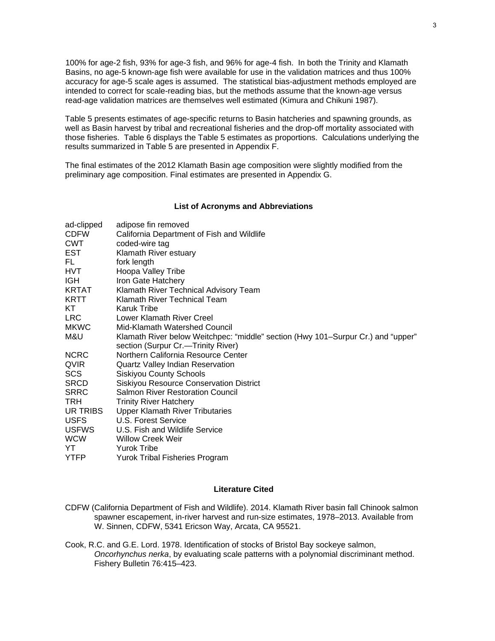100% for age-2 fish, 93% for age-3 fish, and 96% for age-4 fish. In both the Trinity and Klamath Basins, no age-5 known-age fish were available for use in the validation matrices and thus 100% accuracy for age-5 scale ages is assumed. The statistical bias-adjustment methods employed are intended to correct for scale-reading bias, but the methods assume that the known-age versus read-age validation matrices are themselves well estimated (Kimura and Chikuni 1987).

Table 5 presents estimates of age-specific returns to Basin hatcheries and spawning grounds, as well as Basin harvest by tribal and recreational fisheries and the drop-off mortality associated with those fisheries. Table 6 displays the Table 5 estimates as proportions. Calculations underlying the results summarized in Table 5 are presented in Appendix F.

The final estimates of the 2012 Klamath Basin age composition were slightly modified from the preliminary age composition. Final estimates are presented in Appendix G.

#### **List of Acronyms and Abbreviations**

| ad-clipped   | adipose fin removed                                                              |
|--------------|----------------------------------------------------------------------------------|
| <b>CDFW</b>  | California Department of Fish and Wildlife                                       |
| CWT          | coded-wire tag                                                                   |
| EST          | Klamath River estuary                                                            |
| FL.          | fork length                                                                      |
| HVT          | Hoopa Valley Tribe                                                               |
| IGH.         | Iron Gate Hatchery                                                               |
| KRTAT        | Klamath River Technical Advisory Team                                            |
| KRTT         | Klamath River Technical Team                                                     |
| KT           | <b>Karuk Tribe</b>                                                               |
| <b>LRC</b>   | Lower Klamath River Creel                                                        |
| <b>MKWC</b>  | Mid-Klamath Watershed Council                                                    |
| M&U          | Klamath River below Weitchpec: "middle" section (Hwy 101-Surpur Cr.) and "upper" |
|              | section (Surpur Cr.—Trinity River)                                               |
| <b>NCRC</b>  | Northern California Resource Center                                              |
| QVIR         | <b>Quartz Valley Indian Reservation</b>                                          |
| SCS          | <b>Siskiyou County Schools</b>                                                   |
| <b>SRCD</b>  | Siskiyou Resource Conservation District                                          |
| <b>SRRC</b>  | <b>Salmon River Restoration Council</b>                                          |
| TRH.         | <b>Trinity River Hatchery</b>                                                    |
| UR TRIBS     | <b>Upper Klamath River Tributaries</b>                                           |
| <b>USFS</b>  | U.S. Forest Service                                                              |
| <b>USFWS</b> | U.S. Fish and Wildlife Service                                                   |
| WCW          | Willow Creek Weir                                                                |
| YT           | <b>Yurok Tribe</b>                                                               |
| <b>YTFP</b>  | Yurok Tribal Fisheries Program                                                   |

#### **Literature Cited**

- CDFW (California Department of Fish and Wildlife). 2014. Klamath River basin fall Chinook salmon spawner escapement, in-river harvest and run-size estimates, 1978–2013. Available from W. Sinnen, CDFW, 5341 Ericson Way, Arcata, CA 95521.
- Cook, R.C. and G.E. Lord. 1978. Identification of stocks of Bristol Bay sockeye salmon, *Oncorhynchus nerka*, by evaluating scale patterns with a polynomial discriminant method. Fishery Bulletin 76:415–423.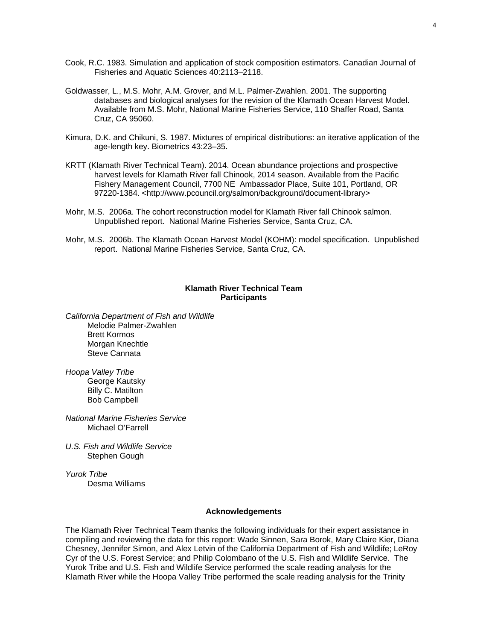- Cook, R.C. 1983. Simulation and application of stock composition estimators. Canadian Journal of Fisheries and Aquatic Sciences 40:2113–2118.
- Goldwasser, L., M.S. Mohr, A.M. Grover, and M.L. Palmer-Zwahlen. 2001. The supporting databases and biological analyses for the revision of the Klamath Ocean Harvest Model. Available from M.S. Mohr, National Marine Fisheries Service, 110 Shaffer Road, Santa Cruz, CA 95060.
- Kimura, D.K. and Chikuni, S. 1987. Mixtures of empirical distributions: an iterative application of the age-length key. Biometrics 43:23–35.
- KRTT (Klamath River Technical Team). 2014. Ocean abundance projections and prospective harvest levels for Klamath River fall Chinook, 2014 season. Available from the Pacific Fishery Management Council, 7700 NE Ambassador Place, Suite 101, Portland, OR 97220-1384. <http://www.pcouncil.org/salmon/background/document-library>
- Mohr, M.S. 2006a. The cohort reconstruction model for Klamath River fall Chinook salmon. Unpublished report. National Marine Fisheries Service, Santa Cruz, CA.
- Mohr, M.S. 2006b. The Klamath Ocean Harvest Model (KOHM): model specification. Unpublished report. National Marine Fisheries Service, Santa Cruz, CA.

#### **Klamath River Technical Team Participants**

*California Department of Fish and Wildlife*  Melodie Palmer-Zwahlen Brett Kormos Morgan Knechtle Steve Cannata

*Hoopa Valley Tribe*  George Kautsky Billy C. Matilton Bob Campbell

*National Marine Fisheries Service*  Michael O'Farrell

*U.S. Fish and Wildlife Service*  Stephen Gough

*Yurok Tribe*  Desma Williams

#### **Acknowledgements**

The Klamath River Technical Team thanks the following individuals for their expert assistance in compiling and reviewing the data for this report: Wade Sinnen, Sara Borok, Mary Claire Kier, Diana Chesney, Jennifer Simon, and Alex Letvin of the California Department of Fish and Wildlife; LeRoy Cyr of the U.S. Forest Service; and Philip Colombano of the U.S. Fish and Wildlife Service. The Yurok Tribe and U.S. Fish and Wildlife Service performed the scale reading analysis for the Klamath River while the Hoopa Valley Tribe performed the scale reading analysis for the Trinity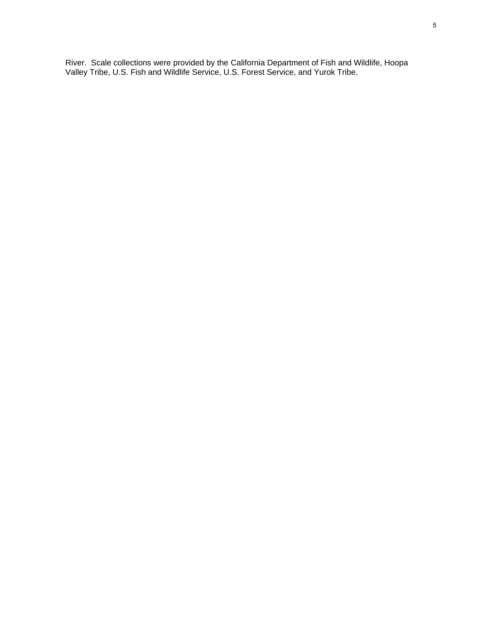River. Scale collections were provided by the California Department of Fish and Wildlife, Hoopa Valley Tribe, U.S. Fish and Wildlife Service, U.S. Forest Service, and Yurok Tribe.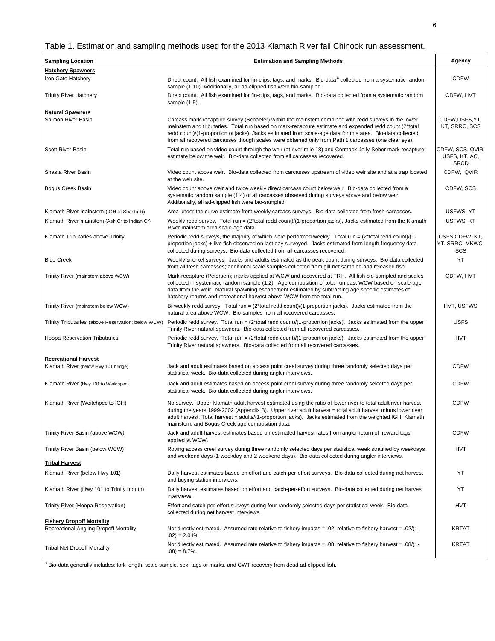# Table 1. Estimation and sampling methods used for the 2013 Klamath River fall Chinook run assessment.

| <b>Sampling Location</b>                           | <b>Estimation and Sampling Methods</b>                                                                                                                                                                                                                                                                                                                                                                                              | Agency                                           |
|----------------------------------------------------|-------------------------------------------------------------------------------------------------------------------------------------------------------------------------------------------------------------------------------------------------------------------------------------------------------------------------------------------------------------------------------------------------------------------------------------|--------------------------------------------------|
| <b>Hatchery Spawners</b>                           |                                                                                                                                                                                                                                                                                                                                                                                                                                     |                                                  |
| Iron Gate Hatchery                                 | Direct count. All fish examined for fin-clips, tags, and marks. Bio-data <sup>a</sup> collected from a systematic random<br>sample (1:10). Additionally, all ad-clipped fish were bio-sampled.                                                                                                                                                                                                                                      | <b>CDFW</b>                                      |
| Trinity River Hatchery                             | Direct count. All fish examined for fin-clips, tags, and marks. Bio-data collected from a systematic random<br>sample (1:5).                                                                                                                                                                                                                                                                                                        | CDFW, HVT                                        |
| <b>Natural Spawners</b><br>Salmon River Basin      | Carcass mark-recapture survey (Schaefer) within the mainstem combined with redd surveys in the lower<br>mainstem and tributaries. Total run based on mark-recapture estimate and expanded redd count (2*total<br>redd count)/(1-proportion of jacks). Jacks estimated from scale-age data for this area. Bio-data collected<br>from all recovered carcasses though scales were obtained only from Path 1 carcasses (one clear eye). | CDFW,USFS,YT,<br>KT, SRRC, SCS                   |
| <b>Scott River Basin</b>                           | Total run based on video count through the weir (at river mile 18) and Cormack-Jolly-Seber mark-recapture<br>estimate below the weir. Bio-data collected from all carcasses recovered.                                                                                                                                                                                                                                              | CDFW, SCS, QVIR,<br>USFS, KT, AC,<br><b>SRCD</b> |
| Shasta River Basin                                 | Video count above weir. Bio-data collected from carcasses upstream of video weir site and at a trap located<br>at the weir site.                                                                                                                                                                                                                                                                                                    | CDFW, QVIR                                       |
| Bogus Creek Basin                                  | Video count above weir and twice weekly direct carcass count below weir. Bio-data collected from a<br>systematic random sample (1:4) of all carcasses observed during surveys above and below weir.<br>Additionally, all ad-clipped fish were bio-sampled.                                                                                                                                                                          | CDFW, SCS                                        |
| Klamath River mainstem (IGH to Shasta R)           | Area under the curve estimate from weekly carcass surveys. Bio-data collected from fresh carcasses.                                                                                                                                                                                                                                                                                                                                 | USFWS, YT                                        |
| Klamath River mainstem (Ash Cr to Indian Cr)       | Weekly redd survey. Total run = (2*total redd count)/(1-proportion jacks). Jacks estimated from the Klamath<br>River mainstem area scale-age data.                                                                                                                                                                                                                                                                                  | USFWS, KT                                        |
| Klamath Tributaries above Trinity                  | Periodic redd surveys, the majority of which were performed weekly. Total run = $(2^*$ total redd count)/(1-<br>proportion jacks) + live fish observed on last day surveyed. Jacks estimated from length-frequency data<br>collected during surveys. Bio-data collected from all carcasses recovered.                                                                                                                               | USFS,CDFW, KT,<br>YT, SRRC, MKWC,<br>SCS         |
| <b>Blue Creek</b>                                  | Weekly snorkel surveys. Jacks and adults estimated as the peak count during surveys. Bio-data collected<br>from all fresh carcasses; additional scale samples collected from gill-net sampled and released fish.                                                                                                                                                                                                                    | YT                                               |
| Trinity River (mainstem above WCW)                 | Mark-recapture (Petersen); marks applied at WCW and recovered at TRH. All fish bio-sampled and scales<br>collected in systematic random sample (1:2). Age composition of total run past WCW based on scale-age<br>data from the weir. Natural spawning escapement estimated by subtracting age specific estimates of<br>hatchery returns and recreational harvest above WCW from the total run.                                     | CDFW, HVT                                        |
| Trinity River (mainstem below WCW)                 | Bi-weekly redd survey. Total run = $(2^*$ total redd count)/ $(1$ -proportion jacks). Jacks estimated from the<br>natural area above WCW. Bio-samples from all recovered carcasses.                                                                                                                                                                                                                                                 | HVT, USFWS                                       |
| Trinity Tributaries (above Reservation; below WCW) | Periodic redd survey. Total run = $(2*total redd count)/(1-proportion jacks)$ . Jacks estimated from the upper<br>Trinity River natural spawners. Bio-data collected from all recovered carcasses.                                                                                                                                                                                                                                  | <b>USFS</b>                                      |
| <b>Hoopa Reservation Tributaries</b>               | Periodic redd survey. Total run = $(2^*$ total redd count)/ $(1$ -proportion jacks). Jacks estimated from the upper<br>Trinity River natural spawners. Bio-data collected from all recovered carcasses.                                                                                                                                                                                                                             | <b>HVT</b>                                       |
| <b>Recreational Harvest</b>                        |                                                                                                                                                                                                                                                                                                                                                                                                                                     |                                                  |
| Klamath River (below Hwy 101 bridge)               | Jack and adult estimates based on access point creel survey during three randomly selected days per<br>statistical week. Bio-data collected during angler interviews.                                                                                                                                                                                                                                                               | <b>CDFW</b>                                      |
| Klamath River (Hwy 101 to Weitchpec)               | Jack and adult estimates based on access point creel survey during three randomly selected days per<br>statistical week. Bio-data collected during angler interviews.                                                                                                                                                                                                                                                               | <b>CDFW</b>                                      |
| Klamath River (Weitchpec to IGH)                   | No survey. Upper Klamath adult harvest estimated using the ratio of lower river to total adult river harvest<br>during the years 1999-2002 (Appendix B). Upper river adult harvest = total adult harvest minus lower river<br>adult harvest. Total harvest = adults/(1-proportion jacks). Jacks estimated from the weighted IGH, Klamath<br>mainstem, and Bogus Creek age composition data.                                         | <b>CDFW</b>                                      |
| Trinity River Basin (above WCW)                    | Jack and adult harvest estimates based on estimated harvest rates from angler return of reward tags<br>applied at WCW.                                                                                                                                                                                                                                                                                                              | <b>CDFW</b>                                      |
| Trinity River Basin (below WCW)                    | Roving access creel survey during three randomly selected days per statistical week stratified by weekdays<br>and weekend days (1 weekday and 2 weekend days). Bio-data collected during angler interviews.                                                                                                                                                                                                                         | <b>HVT</b>                                       |
| <b>Tribal Harvest</b>                              |                                                                                                                                                                                                                                                                                                                                                                                                                                     |                                                  |
| Klamath River (below Hwy 101)                      | Daily harvest estimates based on effort and catch-per-effort surveys. Bio-data collected during net harvest<br>and buying station interviews.                                                                                                                                                                                                                                                                                       | YT                                               |
| Klamath River (Hwy 101 to Trinity mouth)           | Daily harvest estimates based on effort and catch-per-effort surveys. Bio-data collected during net harvest<br>interviews.                                                                                                                                                                                                                                                                                                          | YT                                               |
| Trinity River (Hoopa Reservation)                  | Effort and catch-per-effort surveys during four randomly selected days per statistical week. Bio-data<br>collected during net harvest interviews.                                                                                                                                                                                                                                                                                   | <b>HVT</b>                                       |
| <b>Fishery Dropoff Mortality</b>                   |                                                                                                                                                                                                                                                                                                                                                                                                                                     |                                                  |
| Recreational Angling Dropoff Mortality             | Not directly estimated. Assumed rate relative to fishery impacts = .02; relative to fishery harvest = .02/(1-<br>$.02$ ) = 2.04%.                                                                                                                                                                                                                                                                                                   | <b>KRTAT</b>                                     |
| Tribal Net Dropoff Mortality                       | Not directly estimated. Assumed rate relative to fishery impacts = $.08$ ; relative to fishery harvest = $.08/(1 -$<br>$.08) = 8.7\%$ .                                                                                                                                                                                                                                                                                             | <b>KRTAT</b>                                     |

a Bio-data generally includes: fork length, scale sample, sex, tags or marks, and CWT recovery from dead ad-clipped fish.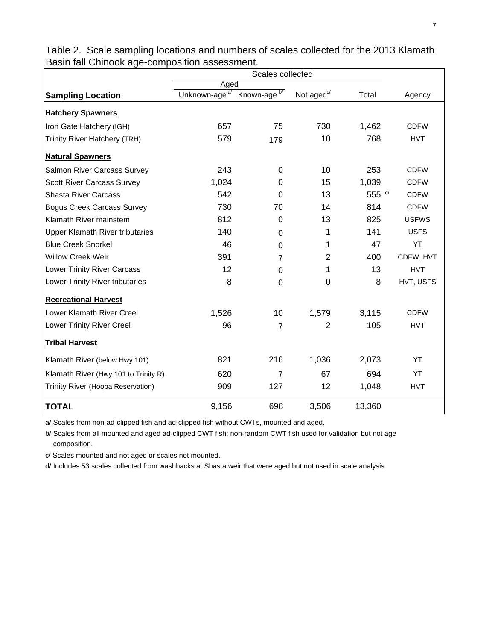|                                        | Aged                      |                         |                       |          |              |
|----------------------------------------|---------------------------|-------------------------|-----------------------|----------|--------------|
| <b>Sampling Location</b>               | Unknown-age <sup>a/</sup> | Known-age <sup>b/</sup> | Not aged $\mathrm{C}$ | Total    | Agency       |
| <b>Hatchery Spawners</b>               |                           |                         |                       |          |              |
| Iron Gate Hatchery (IGH)               | 657                       | 75                      | 730                   | 1,462    | <b>CDFW</b>  |
| Trinity River Hatchery (TRH)           | 579                       | 179                     | 10                    | 768      | <b>HVT</b>   |
| <b>Natural Spawners</b>                |                           |                         |                       |          |              |
| Salmon River Carcass Survey            | 243                       | $\Omega$                | 10                    | 253      | <b>CDFW</b>  |
| <b>Scott River Carcass Survey</b>      | 1,024                     | $\Omega$                | 15                    | 1,039    | <b>CDFW</b>  |
| <b>Shasta River Carcass</b>            | 542                       | 0                       | 13                    | 555 $d/$ | <b>CDFW</b>  |
| <b>Bogus Creek Carcass Survey</b>      | 730                       | 70                      | 14                    | 814      | <b>CDFW</b>  |
| Klamath River mainstem                 | 812                       | 0                       | 13                    | 825      | <b>USFWS</b> |
| <b>Upper Klamath River tributaries</b> | 140                       | $\mathbf 0$             | 1                     | 141      | <b>USFS</b>  |
| <b>Blue Creek Snorkel</b>              | 46                        | $\mathbf 0$             | 1                     | 47       | YT           |
| <b>Willow Creek Weir</b>               | 391                       | 7                       | $\overline{2}$        | 400      | CDFW, HVT    |
| <b>Lower Trinity River Carcass</b>     | 12                        | 0                       | 1                     | 13       | <b>HVT</b>   |
| Lower Trinity River tributaries        | 8                         | 0                       | 0                     | 8        | HVT, USFS    |
| <b>Recreational Harvest</b>            |                           |                         |                       |          |              |
| Lower Klamath River Creel              | 1,526                     | 10                      | 1,579                 | 3,115    | <b>CDFW</b>  |
| Lower Trinity River Creel              | 96                        | $\overline{7}$          | $\overline{2}$        | 105      | <b>HVT</b>   |
| <b>Tribal Harvest</b>                  |                           |                         |                       |          |              |
| Klamath River (below Hwy 101)          | 821                       | 216                     | 1,036                 | 2,073    | YT           |
| Klamath River (Hwy 101 to Trinity R)   | 620                       | $\overline{7}$          | 67                    | 694      | YT           |
| Trinity River (Hoopa Reservation)      | 909                       | 127                     | 12                    | 1,048    | <b>HVT</b>   |
| <b>TOTAL</b>                           | 9,156                     | 698                     | 3,506                 | 13,360   |              |

Table 2. Scale sampling locations and numbers of scales collected for the 2013 Klamath Basin fall Chinook age-composition assessment.

a/ Scales from non-ad-clipped fish and ad-clipped fish without CWTs, mounted and aged.

b/ Scales from all mounted and aged ad-clipped CWT fish; non-random CWT fish used for validation but not age composition.

c/ Scales mounted and not aged or scales not mounted.

d/ Includes 53 scales collected from washbacks at Shasta weir that were aged but not used in scale analysis.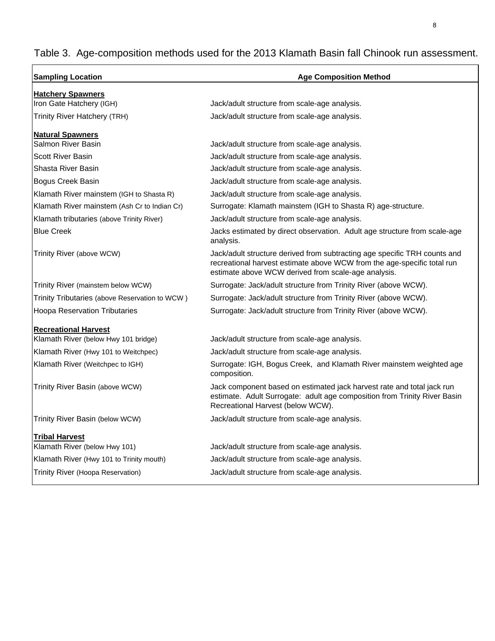# Table 3. Age-composition methods used for the 2013 Klamath Basin fall Chinook run assessment.

| <b>Sampling Location</b>                       | <b>Age Composition Method</b>                                                                                                                                                                               |  |  |  |  |  |
|------------------------------------------------|-------------------------------------------------------------------------------------------------------------------------------------------------------------------------------------------------------------|--|--|--|--|--|
| <b>Hatchery Spawners</b>                       |                                                                                                                                                                                                             |  |  |  |  |  |
| Iron Gate Hatchery (IGH)                       | Jack/adult structure from scale-age analysis.                                                                                                                                                               |  |  |  |  |  |
| <b>Trinity River Hatchery (TRH)</b>            | Jack/adult structure from scale-age analysis.                                                                                                                                                               |  |  |  |  |  |
| <b>Natural Spawners</b>                        |                                                                                                                                                                                                             |  |  |  |  |  |
| Salmon River Basin                             | Jack/adult structure from scale-age analysis.                                                                                                                                                               |  |  |  |  |  |
| <b>Scott River Basin</b>                       | Jack/adult structure from scale-age analysis.                                                                                                                                                               |  |  |  |  |  |
| Shasta River Basin                             | Jack/adult structure from scale-age analysis.                                                                                                                                                               |  |  |  |  |  |
| Bogus Creek Basin                              | Jack/adult structure from scale-age analysis.                                                                                                                                                               |  |  |  |  |  |
| Klamath River mainstem (IGH to Shasta R)       | Jack/adult structure from scale-age analysis.                                                                                                                                                               |  |  |  |  |  |
| Klamath River mainstem (Ash Cr to Indian Cr)   | Surrogate: Klamath mainstem (IGH to Shasta R) age-structure.                                                                                                                                                |  |  |  |  |  |
| Klamath tributaries (above Trinity River)      | Jack/adult structure from scale-age analysis.                                                                                                                                                               |  |  |  |  |  |
| <b>Blue Creek</b>                              | Jacks estimated by direct observation. Adult age structure from scale-age<br>analysis.                                                                                                                      |  |  |  |  |  |
| Trinity River (above WCW)                      | Jack/adult structure derived from subtracting age specific TRH counts and<br>recreational harvest estimate above WCW from the age-specific total run<br>estimate above WCW derived from scale-age analysis. |  |  |  |  |  |
| Trinity River (mainstem below WCW)             | Surrogate: Jack/adult structure from Trinity River (above WCW).                                                                                                                                             |  |  |  |  |  |
| Trinity Tributaries (above Reservation to WCW) | Surrogate: Jack/adult structure from Trinity River (above WCW).                                                                                                                                             |  |  |  |  |  |
| <b>Hoopa Reservation Tributaries</b>           | Surrogate: Jack/adult structure from Trinity River (above WCW).                                                                                                                                             |  |  |  |  |  |
| <b>Recreational Harvest</b>                    |                                                                                                                                                                                                             |  |  |  |  |  |
| Klamath River (below Hwy 101 bridge)           | Jack/adult structure from scale-age analysis.                                                                                                                                                               |  |  |  |  |  |
| Klamath River (Hwy 101 to Weitchpec)           | Jack/adult structure from scale-age analysis.                                                                                                                                                               |  |  |  |  |  |
| Klamath River (Weitchpec to IGH)               | Surrogate: IGH, Bogus Creek, and Klamath River mainstem weighted age<br>composition.                                                                                                                        |  |  |  |  |  |
| Trinity River Basin (above WCW)                | Jack component based on estimated jack harvest rate and total jack run<br>estimate. Adult Surrogate: adult age composition from Trinity River Basin<br>Recreational Harvest (below WCW).                    |  |  |  |  |  |
| Trinity River Basin (below WCW)                | Jack/adult structure from scale-age analysis.                                                                                                                                                               |  |  |  |  |  |
| <u>Tribal Harvest</u>                          |                                                                                                                                                                                                             |  |  |  |  |  |
| Klamath River (below Hwy 101)                  | Jack/adult structure from scale-age analysis.                                                                                                                                                               |  |  |  |  |  |
| Klamath River (Hwy 101 to Trinity mouth)       | Jack/adult structure from scale-age analysis.                                                                                                                                                               |  |  |  |  |  |
| Trinity River (Hoopa Reservation)              | Jack/adult structure from scale-age analysis.                                                                                                                                                               |  |  |  |  |  |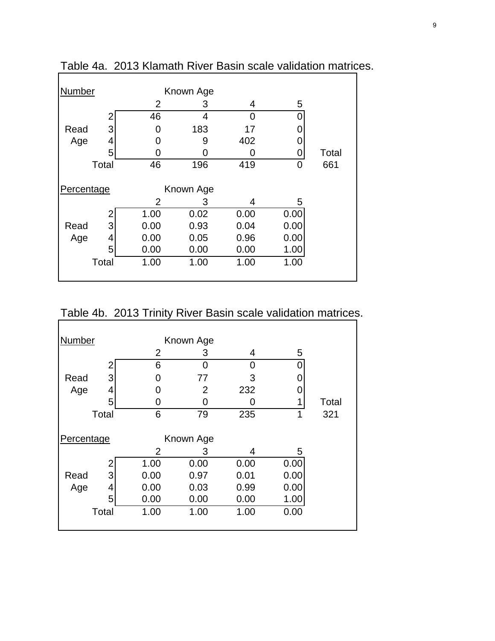| <b>Number</b><br>Known Age |       |                |           |      |      |       |
|----------------------------|-------|----------------|-----------|------|------|-------|
|                            |       | $\overline{2}$ | 3         | 4    | 5    |       |
|                            |       | 46             | 4         | 0    |      |       |
| Read                       | 3     | ი              | 183       | 17   |      |       |
| Age                        | 4     | O              | 9         | 402  |      |       |
|                            | 5     |                |           | 0    |      | Total |
|                            | Total | 46             | 196       | 419  | 0    | 661   |
|                            |       |                |           |      |      |       |
| Percentage                 |       |                | Known Age |      |      |       |
|                            |       | $\overline{2}$ | 3         | 4    | 5    |       |
|                            |       | 1.00           | 0.02      | 0.00 | 0.00 |       |
| Read                       | 3     | 0.00           | 0.93      | 0.04 | 0.00 |       |
| Age                        | 4     | 0.00           | 0.05      | 0.96 | 0.00 |       |
|                            | 5     | 0.00           | 0.00      | 0.00 | 1.00 |       |
|                            | Total | 1.00           | 1.00      | 1.00 | 1.00 |       |
|                            |       |                |           |      |      |       |

Table 4a. 2013 Klamath River Basin scale validation matrices.

Table 4b. 2013 Trinity River Basin scale validation matrices.

| Number                  |       |      | Known Age |      |      |       |
|-------------------------|-------|------|-----------|------|------|-------|
|                         |       | 2    | 3         | 4    | 5    |       |
|                         | 2     | 6    | 0         | ი    |      |       |
| Read                    | 3     | O    | 77        | 3    |      |       |
| Age                     | 4     | O    | 2         | 232  |      |       |
|                         | 5     | O    | O         | O    |      | Total |
|                         | Total | 6    | 79        | 235  | 1    | 321   |
| Percentage<br>Known Age |       |      |           |      |      |       |
|                         |       | 2    | 3         | 4    | 5    |       |
|                         |       | 1.00 | 0.00      | 0.00 | 0.00 |       |
| Read                    | 3     | 0.00 | 0.97      | 0.01 | 0.00 |       |
| Age                     | 4     | 0.00 | 0.03      | 0.99 | 0.00 |       |
|                         | 5     | 0.00 | 0.00      | 0.00 | 1.00 |       |
|                         | Total | 1.00 | 1.00      | 1.00 | 0.00 |       |
|                         |       |      |           |      |      |       |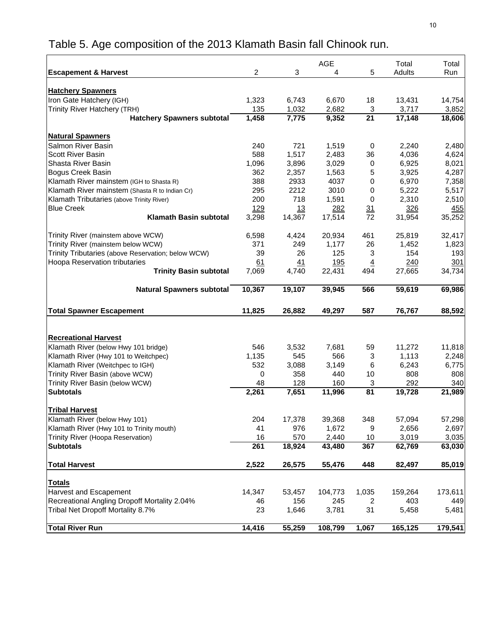# Table 5. Age composition of the 2013 Klamath Basin fall Chinook run.

|                                                                          |             |             | <b>AGE</b>           |                       | Total         | Total         |
|--------------------------------------------------------------------------|-------------|-------------|----------------------|-----------------------|---------------|---------------|
| <b>Escapement &amp; Harvest</b>                                          | 2           | 3           | 4                    | 5                     | Adults        | Run           |
|                                                                          |             |             |                      |                       |               |               |
| <b>Hatchery Spawners</b>                                                 |             |             |                      |                       |               |               |
| Iron Gate Hatchery (IGH)                                                 | 1,323       | 6,743       | 6,670                | 18                    | 13,431        | 14,754        |
| Trinity River Hatchery (TRH)                                             | 135         | 1,032       | 2,682                | 3                     | 3,717         | 3,852         |
| <b>Hatchery Spawners subtotal</b>                                        | 1,458       | 7,775       | 9,352                | 21                    | 17,148        | 18,606        |
|                                                                          |             |             |                      |                       |               |               |
| <b>Natural Spawners</b>                                                  |             |             |                      |                       |               |               |
| Salmon River Basin                                                       | 240         | 721         | 1,519                | 0                     | 2,240         | 2,480         |
| <b>Scott River Basin</b><br>Shasta River Basin                           | 588         | 1,517       | 2,483                | 36                    | 4,036         | 4,624         |
|                                                                          | 1,096       | 3,896       | 3,029                | $\mathbf 0$           | 6,925         | 8,021         |
| Bogus Creek Basin                                                        | 362         | 2,357       | 1,563                | 5                     | 3,925         | 4,287         |
| Klamath River mainstem (IGH to Shasta R)                                 | 388         | 2933        | 4037                 | 0                     | 6,970         | 7,358         |
| Klamath River mainstem (Shasta R to Indian Cr)                           | 295         | 2212        | 3010                 | 0                     | 5,222         | 5,517         |
| Klamath Tributaries (above Trinity River)                                | 200         | 718         | 1,591                | 0                     | 2,310         | 2,510         |
| <b>Blue Creek</b>                                                        | 129         | 13          | <u> 282</u>          | 31                    | 326           | 455           |
| <b>Klamath Basin subtotal</b>                                            | 3,298       | 14,367      | 17,514               | 72                    | 31,954        | 35,252        |
|                                                                          | 6,598       | 4,424       | 20,934               | 461                   | 25,819        | 32,417        |
| Trinity River (mainstem above WCW)<br>Trinity River (mainstem below WCW) | 371         | 249         |                      | 26                    | 1,452         |               |
| Trinity Tributaries (above Reservation; below WCW)                       | 39          | 26          | 1,177<br>125         | 3                     | 154           | 1,823         |
| Hoopa Reservation tributaries                                            |             |             |                      |                       |               | 193           |
| <b>Trinity Basin subtotal</b>                                            | 61<br>7,069 | 41<br>4,740 | <u>195</u><br>22,431 | $\overline{4}$<br>494 | 240<br>27,665 | 301<br>34,734 |
|                                                                          |             |             |                      |                       |               |               |
| <b>Natural Spawners subtotal</b>                                         | 10,367      | 19,107      | 39,945               | 566                   | 59,619        | 69,986        |
|                                                                          |             |             |                      |                       |               |               |
| <b>Total Spawner Escapement</b>                                          | 11,825      | 26,882      | 49,297               | 587                   | 76,767        | 88,592        |
|                                                                          |             |             |                      |                       |               |               |
|                                                                          |             |             |                      |                       |               |               |
| <b>Recreational Harvest</b>                                              |             |             |                      |                       |               |               |
| Klamath River (below Hwy 101 bridge)                                     | 546         | 3,532       | 7,681                | 59                    | 11,272        | 11,818        |
| Klamath River (Hwy 101 to Weitchpec)                                     | 1,135       | 545         | 566                  | 3                     | 1,113         | 2,248         |
| Klamath River (Weitchpec to IGH)                                         | 532         | 3,088       | 3,149                | 6                     | 6,243         | 6,775         |
| Trinity River Basin (above WCW)                                          | 0           | 358         | 440                  | 10                    | 808           | 808           |
| Trinity River Basin (below WCW)                                          | 48          | 128         | 160                  | 3                     | 292           | 340           |
| <b>Subtotals</b>                                                         | 2,261       | 7,651       | 11,996               | 81                    | 19,728        | 21,989        |
|                                                                          |             |             |                      |                       |               |               |
| <b>Tribal Harvest</b>                                                    |             |             |                      |                       |               |               |
| Klamath River (below Hwy 101)                                            | 204         | 17,378      | 39,368               | 348                   | 57,094        | 57,298        |
| Klamath River (Hwy 101 to Trinity mouth)                                 | 41          | 976         | 1,672                | 9                     | 2,656         | 2,697         |
| Trinity River (Hoopa Reservation)                                        | 16          | 570         | 2,440                | 10                    | 3,019         | 3,035         |
| <b>Subtotals</b>                                                         | 261         | 18,924      | 43,480               | 367                   | 62,769        | 63,030        |
| <b>Total Harvest</b>                                                     | 2,522       | 26,575      | 55,476               | 448                   | 82,497        | 85,019        |
|                                                                          |             |             |                      |                       |               |               |
| <b>Totals</b>                                                            |             |             |                      |                       |               |               |
| Harvest and Escapement                                                   | 14,347      | 53,457      | 104,773              | 1,035                 | 159,264       | 173,611       |
| Recreational Angling Dropoff Mortality 2.04%                             | 46          | 156         | 245                  | 2                     | 403           | 449           |
| Tribal Net Dropoff Mortality 8.7%                                        | 23          | 1,646       | 3,781                | 31                    | 5,458         | 5,481         |
|                                                                          |             |             |                      |                       |               |               |
| <b>Total River Run</b>                                                   | 14,416      | 55,259      | 108,799              | 1,067                 | 165,125       | 179,541       |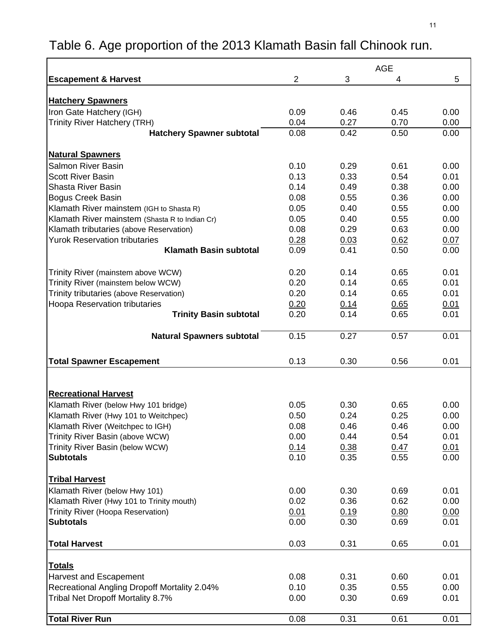# Table 6. Age proportion of the 2013 Klamath Basin fall Chinook run.

|                                                                                          | <b>AGE</b>     |      |      |      |
|------------------------------------------------------------------------------------------|----------------|------|------|------|
| <b>Escapement &amp; Harvest</b>                                                          | $\overline{2}$ | 3    | 4    | 5    |
|                                                                                          |                |      |      |      |
| <b>Hatchery Spawners</b>                                                                 |                |      |      |      |
| Iron Gate Hatchery (IGH)                                                                 | 0.09           | 0.46 | 0.45 | 0.00 |
| Trinity River Hatchery (TRH)                                                             | 0.04           | 0.27 | 0.70 | 0.00 |
| <b>Hatchery Spawner subtotal</b>                                                         | 0.08           | 0.42 | 0.50 | 0.00 |
| <b>Natural Spawners</b>                                                                  |                |      |      |      |
| Salmon River Basin                                                                       | 0.10           | 0.29 | 0.61 | 0.00 |
| <b>Scott River Basin</b>                                                                 | 0.13           | 0.33 | 0.54 | 0.01 |
| <b>Shasta River Basin</b>                                                                | 0.14           | 0.49 | 0.38 | 0.00 |
| <b>Bogus Creek Basin</b>                                                                 | 0.08           | 0.55 | 0.36 | 0.00 |
| Klamath River mainstem (IGH to Shasta R)                                                 | 0.05           | 0.40 | 0.55 | 0.00 |
| Klamath River mainstem (Shasta R to Indian Cr)                                           | 0.05           | 0.40 | 0.55 | 0.00 |
| Klamath tributaries (above Reservation)                                                  | 0.08           | 0.29 | 0.63 | 0.00 |
| <b>Yurok Reservation tributaries</b>                                                     | 0.28           | 0.03 | 0.62 | 0.07 |
| <b>Klamath Basin subtotal</b>                                                            | 0.09           | 0.41 | 0.50 | 0.00 |
|                                                                                          |                |      |      |      |
| Trinity River (mainstem above WCW)                                                       | 0.20           | 0.14 | 0.65 | 0.01 |
| Trinity River (mainstem below WCW)                                                       | 0.20           | 0.14 | 0.65 | 0.01 |
| Trinity tributaries (above Reservation)                                                  | 0.20           | 0.14 | 0.65 | 0.01 |
| Hoopa Reservation tributaries                                                            | 0.20           | 0.14 | 0.65 | 0.01 |
| <b>Trinity Basin subtotal</b>                                                            | 0.20           | 0.14 | 0.65 | 0.01 |
|                                                                                          |                |      |      |      |
| <b>Natural Spawners subtotal</b>                                                         | 0.15           | 0.27 | 0.57 | 0.01 |
|                                                                                          |                |      |      |      |
| <b>Total Spawner Escapement</b>                                                          | 0.13           | 0.30 | 0.56 | 0.01 |
|                                                                                          |                |      |      |      |
|                                                                                          |                |      |      |      |
| <b>Recreational Harvest</b>                                                              |                |      |      |      |
| Klamath River (below Hwy 101 bridge)                                                     | 0.05           | 0.30 | 0.65 | 0.00 |
| Klamath River (Hwy 101 to Weitchpec)                                                     | 0.50           | 0.24 | 0.25 | 0.00 |
| Klamath River (Weitchpec to IGH)                                                         | 0.08           | 0.46 | 0.46 | 0.00 |
| Trinity River Basin (above WCW)                                                          | 0.00           | 0.44 | 0.54 | 0.01 |
| Trinity River Basin (below WCW)                                                          | 0.14           | 0.38 | 0.47 | 0.01 |
| <b>Subtotals</b>                                                                         | 0.10           | 0.35 | 0.55 | 0.00 |
|                                                                                          |                |      |      |      |
| <b>Tribal Harvest</b>                                                                    |                |      |      |      |
| Klamath River (below Hwy 101)                                                            | 0.00           | 0.30 | 0.69 | 0.01 |
| Klamath River (Hwy 101 to Trinity mouth)                                                 | 0.02           | 0.36 | 0.62 | 0.00 |
| Trinity River (Hoopa Reservation)                                                        | 0.01           | 0.19 | 0.80 | 0.00 |
| <b>Subtotals</b>                                                                         | 0.00           | 0.30 | 0.69 | 0.01 |
|                                                                                          |                |      |      |      |
| <b>Total Harvest</b>                                                                     | 0.03           | 0.31 | 0.65 | 0.01 |
| <u>Totals</u>                                                                            |                |      |      |      |
|                                                                                          | 0.08           | 0.31 | 0.60 | 0.01 |
| Harvest and Escapement                                                                   | 0.10           | 0.35 | 0.55 | 0.00 |
| <b>Recreational Angling Dropoff Mortality 2.04%</b><br>Tribal Net Dropoff Mortality 8.7% | 0.00           | 0.30 | 0.69 | 0.01 |
|                                                                                          |                |      |      |      |
| <b>Total River Run</b>                                                                   | 0.08           | 0.31 | 0.61 | 0.01 |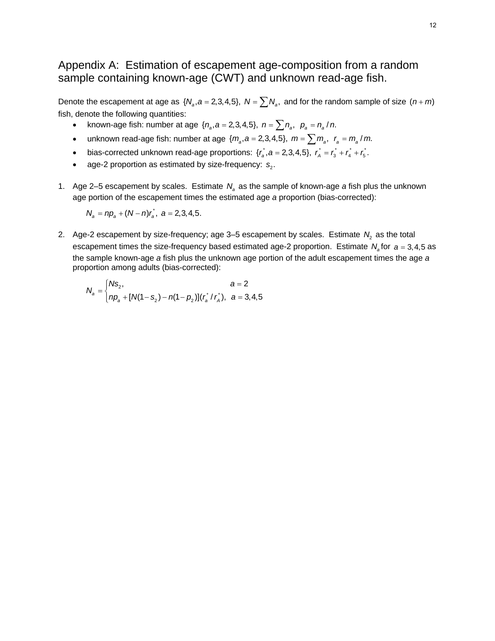# Appendix A: Estimation of escapement age-composition from a random sample containing known-age (CWT) and unknown read-age fish.

Denote the escapement at age as  $\{N_a, a = 2, 3, 4, 5\}$ ,  $N = \sum N_a$ , and for the random sample of size  $(n + m)$ fish, denote the following quantities:

- known-age fish: number at age  $\{n_a, a = 2, 3, 4, 5\}$ ,  $n = \sum n_a$ ,  $p_a = n_a / n$ .
- unknown read-age fish: number at age  $\{m_a, a = 2, 3, 4, 5\}$ ,  $m = \sum m_a$ ,  $r_a = m_a / m$ .
- bias-corrected unknown read-age proportions:  $\{r_a^*, a = 2, 3, 4, 5\}$ ,  $r_a^* = r_a^* + r_a^* + r_5^*$ .
- age-2 proportion as estimated by size-frequency:  $s_2$ .
- 1. Age 2–5 escapement by scales. Estimate  $N_a$  as the sample of known-age *a* fish plus the unknown age portion of the escapement times the estimated age *a* proportion (bias-corrected):

 $N_a = np_a + (N - n)r_a$ ,  $a = 2,3,4,5$ .

2. Age-2 escapement by size-frequency; age  $3-5$  escapement by scales. Estimate  $N_2$  as the total escapement times the size-frequency based estimated age-2 proportion. Estimate  $N_a$  for  $a = 3, 4, 5$  as the sample known-age *a* fish plus the unknown age portion of the adult escapement times the age *a* proportion among adults (bias-corrected):

$$
N_a = \begin{cases} N s_2, & a = 2 \\ np_a + [N(1 - s_2) - n(1 - p_2)](r_a^* / r_A^*), & a = 3, 4, 5 \end{cases}
$$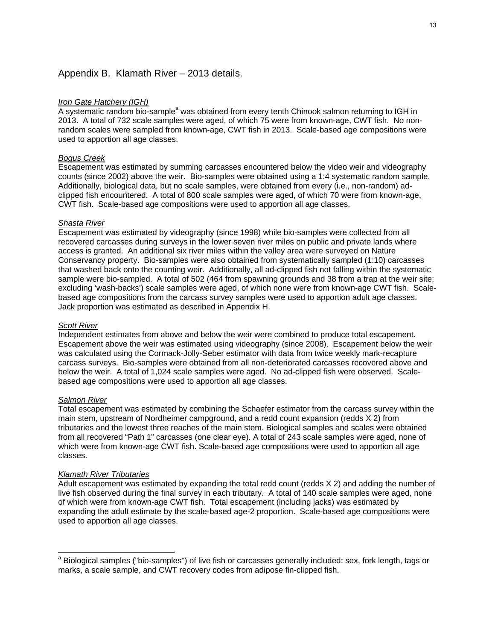## Appendix B. Klamath River – 2013 details.

#### *Iron Gate Hatchery (IGH)*

A systematic random bio-sample<sup>a</sup> was obtained from every tenth Chinook salmon returning to IGH in 2013. A total of 732 scale samples were aged, of which 75 were from known-age, CWT fish. No nonrandom scales were sampled from known-age, CWT fish in 2013. Scale-based age compositions were used to apportion all age classes.

#### *Bogus Creek*

Escapement was estimated by summing carcasses encountered below the video weir and videography counts (since 2002) above the weir. Bio-samples were obtained using a 1:4 systematic random sample. Additionally, biological data, but no scale samples, were obtained from every (i.e., non-random) adclipped fish encountered. A total of 800 scale samples were aged, of which 70 were from known-age, CWT fish. Scale-based age compositions were used to apportion all age classes.

#### *Shasta River*

Escapement was estimated by videography (since 1998) while bio-samples were collected from all recovered carcasses during surveys in the lower seven river miles on public and private lands where access is granted. An additional six river miles within the valley area were surveyed on Nature Conservancy property. Bio-samples were also obtained from systematically sampled (1:10) carcasses that washed back onto the counting weir. Additionally, all ad-clipped fish not falling within the systematic sample were bio-sampled. A total of 502 (464 from spawning grounds and 38 from a trap at the weir site; excluding 'wash-backs') scale samples were aged, of which none were from known-age CWT fish. Scalebased age compositions from the carcass survey samples were used to apportion adult age classes. Jack proportion was estimated as described in Appendix H.

#### *Scott River*

Independent estimates from above and below the weir were combined to produce total escapement. Escapement above the weir was estimated using videography (since 2008). Escapement below the weir was calculated using the Cormack-Jolly-Seber estimator with data from twice weekly mark-recapture carcass surveys. Bio-samples were obtained from all non-deteriorated carcasses recovered above and below the weir. A total of 1,024 scale samples were aged. No ad-clipped fish were observed. Scalebased age compositions were used to apportion all age classes.

#### *Salmon River*

l

Total escapement was estimated by combining the Schaefer estimator from the carcass survey within the main stem, upstream of Nordheimer campground, and a redd count expansion (redds X 2) from tributaries and the lowest three reaches of the main stem. Biological samples and scales were obtained from all recovered "Path 1" carcasses (one clear eye). A total of 243 scale samples were aged, none of which were from known-age CWT fish. Scale-based age compositions were used to apportion all age classes.

#### *Klamath River Tributaries*

Adult escapement was estimated by expanding the total redd count (redds X 2) and adding the number of live fish observed during the final survey in each tributary. A total of 140 scale samples were aged, none of which were from known-age CWT fish. Total escapement (including jacks) was estimated by expanding the adult estimate by the scale-based age-2 proportion. Scale-based age compositions were used to apportion all age classes.

<sup>&</sup>lt;sup>a</sup> Biological samples ("bio-samples") of live fish or carcasses generally included: sex, fork length, tags or marks, a scale sample, and CWT recovery codes from adipose fin-clipped fish.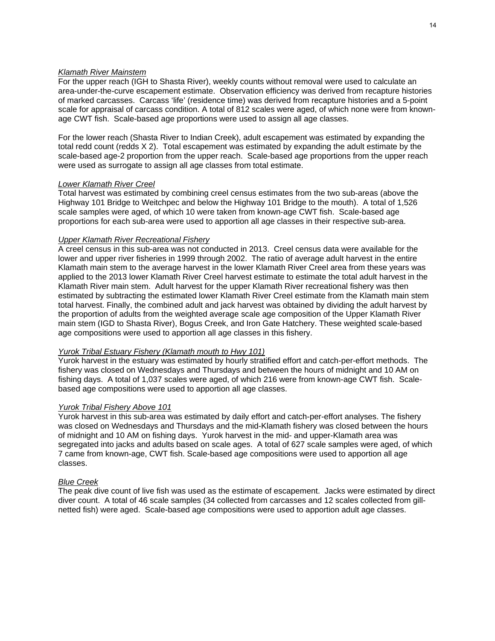#### *Klamath River Mainstem*

For the upper reach (IGH to Shasta River), weekly counts without removal were used to calculate an area-under-the-curve escapement estimate. Observation efficiency was derived from recapture histories of marked carcasses. Carcass 'life' (residence time) was derived from recapture histories and a 5-point scale for appraisal of carcass condition. A total of 812 scales were aged, of which none were from knownage CWT fish. Scale-based age proportions were used to assign all age classes.

For the lower reach (Shasta River to Indian Creek), adult escapement was estimated by expanding the total redd count (redds X 2). Total escapement was estimated by expanding the adult estimate by the scale-based age-2 proportion from the upper reach. Scale-based age proportions from the upper reach were used as surrogate to assign all age classes from total estimate.

## *Lower Klamath River Creel*

Total harvest was estimated by combining creel census estimates from the two sub-areas (above the Highway 101 Bridge to Weitchpec and below the Highway 101 Bridge to the mouth). A total of 1,526 scale samples were aged, of which 10 were taken from known-age CWT fish. Scale-based age proportions for each sub-area were used to apportion all age classes in their respective sub-area.

#### *Upper Klamath River Recreational Fishery*

A creel census in this sub-area was not conducted in 2013. Creel census data were available for the lower and upper river fisheries in 1999 through 2002. The ratio of average adult harvest in the entire Klamath main stem to the average harvest in the lower Klamath River Creel area from these years was applied to the 2013 lower Klamath River Creel harvest estimate to estimate the total adult harvest in the Klamath River main stem. Adult harvest for the upper Klamath River recreational fishery was then estimated by subtracting the estimated lower Klamath River Creel estimate from the Klamath main stem total harvest. Finally, the combined adult and jack harvest was obtained by dividing the adult harvest by the proportion of adults from the weighted average scale age composition of the Upper Klamath River main stem (IGD to Shasta River), Bogus Creek, and Iron Gate Hatchery. These weighted scale-based age compositions were used to apportion all age classes in this fishery.

#### *Yurok Tribal Estuary Fishery (Klamath mouth to Hwy 101)*

Yurok harvest in the estuary was estimated by hourly stratified effort and catch-per-effort methods. The fishery was closed on Wednesdays and Thursdays and between the hours of midnight and 10 AM on fishing days. A total of 1,037 scales were aged, of which 216 were from known-age CWT fish. Scalebased age compositions were used to apportion all age classes.

#### *Yurok Tribal Fishery Above 101*

Yurok harvest in this sub-area was estimated by daily effort and catch-per-effort analyses. The fishery was closed on Wednesdays and Thursdays and the mid-Klamath fishery was closed between the hours of midnight and 10 AM on fishing days. Yurok harvest in the mid- and upper-Klamath area was segregated into jacks and adults based on scale ages. A total of 627 scale samples were aged, of which 7 came from known-age, CWT fish. Scale-based age compositions were used to apportion all age classes.

#### *Blue Creek*

The peak dive count of live fish was used as the estimate of escapement. Jacks were estimated by direct diver count. A total of 46 scale samples (34 collected from carcasses and 12 scales collected from gillnetted fish) were aged. Scale-based age compositions were used to apportion adult age classes.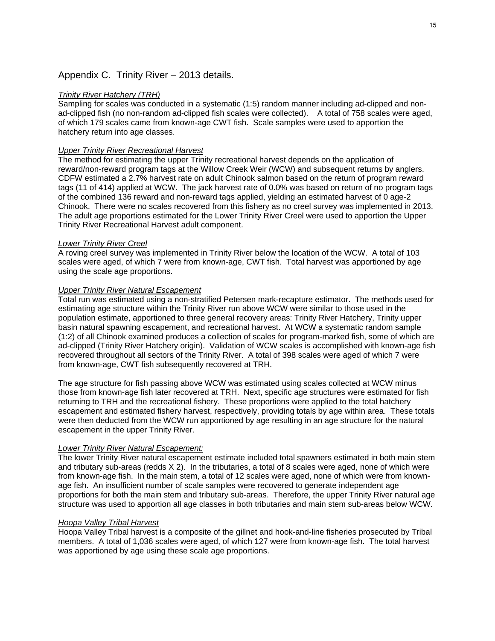## Appendix C. Trinity River – 2013 details.

#### *Trinity River Hatchery (TRH)*

Sampling for scales was conducted in a systematic (1:5) random manner including ad-clipped and nonad-clipped fish (no non-random ad-clipped fish scales were collected). A total of 758 scales were aged, of which 179 scales came from known-age CWT fish. Scale samples were used to apportion the hatchery return into age classes.

#### *Upper Trinity River Recreational Harvest*

The method for estimating the upper Trinity recreational harvest depends on the application of reward/non-reward program tags at the Willow Creek Weir (WCW) and subsequent returns by anglers. CDFW estimated a 2.7% harvest rate on adult Chinook salmon based on the return of program reward tags (11 of 414) applied at WCW. The jack harvest rate of 0.0% was based on return of no program tags of the combined 136 reward and non-reward tags applied, yielding an estimated harvest of 0 age-2 Chinook. There were no scales recovered from this fishery as no creel survey was implemented in 2013. The adult age proportions estimated for the Lower Trinity River Creel were used to apportion the Upper Trinity River Recreational Harvest adult component.

#### *Lower Trinity River Creel*

A roving creel survey was implemented in Trinity River below the location of the WCW. A total of 103 scales were aged, of which 7 were from known-age, CWT fish. Total harvest was apportioned by age using the scale age proportions.

#### *Upper Trinity River Natural Escapement*

Total run was estimated using a non-stratified Petersen mark-recapture estimator. The methods used for estimating age structure within the Trinity River run above WCW were similar to those used in the population estimate, apportioned to three general recovery areas: Trinity River Hatchery, Trinity upper basin natural spawning escapement, and recreational harvest. At WCW a systematic random sample (1:2) of all Chinook examined produces a collection of scales for program-marked fish, some of which are ad-clipped (Trinity River Hatchery origin). Validation of WCW scales is accomplished with known-age fish recovered throughout all sectors of the Trinity River. A total of 398 scales were aged of which 7 were from known-age, CWT fish subsequently recovered at TRH.

The age structure for fish passing above WCW was estimated using scales collected at WCW minus those from known-age fish later recovered at TRH. Next, specific age structures were estimated for fish returning to TRH and the recreational fishery. These proportions were applied to the total hatchery escapement and estimated fishery harvest, respectively, providing totals by age within area. These totals were then deducted from the WCW run apportioned by age resulting in an age structure for the natural escapement in the upper Trinity River.

### *Lower Trinity River Natural Escapement:*

The lower Trinity River natural escapement estimate included total spawners estimated in both main stem and tributary sub-areas (redds X 2). In the tributaries, a total of 8 scales were aged, none of which were from known-age fish. In the main stem, a total of 12 scales were aged, none of which were from knownage fish. An insufficient number of scale samples were recovered to generate independent age proportions for both the main stem and tributary sub-areas. Therefore, the upper Trinity River natural age structure was used to apportion all age classes in both tributaries and main stem sub-areas below WCW.

#### *Hoopa Valley Tribal Harvest*

Hoopa Valley Tribal harvest is a composite of the gillnet and hook-and-line fisheries prosecuted by Tribal members. A total of 1,036 scales were aged, of which 127 were from known-age fish. The total harvest was apportioned by age using these scale age proportions.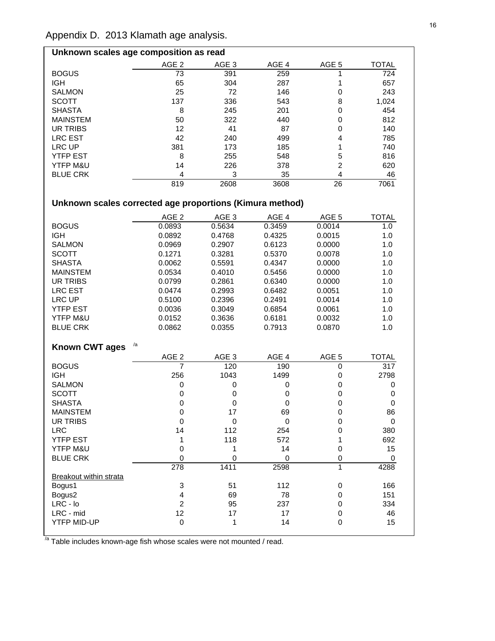## Appendix D. 2013 Klamath age analysis.

| Unknown scales age composition as read |                  |                  |                  |       |              |  |  |  |
|----------------------------------------|------------------|------------------|------------------|-------|--------------|--|--|--|
|                                        | AGE <sub>2</sub> | AGE <sub>3</sub> | AGE <sub>4</sub> | AGE 5 | <b>TOTAL</b> |  |  |  |
| <b>BOGUS</b>                           | 73               | 391              | 259              |       | 724          |  |  |  |
| <b>IGH</b>                             | 65               | 304              | 287              |       | 657          |  |  |  |
| <b>SALMON</b>                          | 25               | 72               | 146              |       | 243          |  |  |  |
| <b>SCOTT</b>                           | 137              | 336              | 543              | 8     | 1,024        |  |  |  |
| <b>SHASTA</b>                          | 8                | 245              | 201              | 0     | 454          |  |  |  |
| <b>MAINSTEM</b>                        | 50               | 322              | 440              | 0     | 812          |  |  |  |
| UR TRIBS                               | 12               | 41               | 87               | 0     | 140          |  |  |  |
| <b>LRC EST</b>                         | 42               | 240              | 499              | 4     | 785          |  |  |  |
| LRC UP                                 | 381              | 173              | 185              |       | 740          |  |  |  |
| <b>YTFP EST</b>                        | 8                | 255              | 548              | 5     | 816          |  |  |  |
| YTFP M&U                               | 14               | 226              | 378              | 2     | 620          |  |  |  |
| <b>BLUE CRK</b>                        | 4                | 3                | 35               | 4     | 46           |  |  |  |
|                                        | 819              | 2608             | 3608             | 26    | 7061         |  |  |  |

# **Unknown scales corrected age proportions (Kimura method)**

|                        | AGE <sub>2</sub>        | AGE <sub>3</sub> | AGE 4       | AGE <sub>5</sub> | <b>TOTAL</b> |
|------------------------|-------------------------|------------------|-------------|------------------|--------------|
| <b>BOGUS</b>           | 0.0893                  | 0.5634           | 0.3459      | 0.0014           | 1.0          |
| <b>IGH</b>             | 0.0892                  | 0.4768           | 0.4325      | 0.0015           | 1.0          |
| <b>SALMON</b>          | 0.0969                  | 0.2907           | 0.6123      | 0.0000           | 1.0          |
| <b>SCOTT</b>           | 0.1271                  | 0.3281           | 0.5370      | 0.0078           | 1.0          |
| <b>SHASTA</b>          | 0.0062                  | 0.5591           | 0.4347      | 0.0000           | 1.0          |
| <b>MAINSTEM</b>        | 0.0534                  | 0.4010           | 0.5456      | 0.0000           | 1.0          |
| UR TRIBS               | 0.0799                  | 0.2861           | 0.6340      | 0.0000           | 1.0          |
| <b>LRC EST</b>         | 0.0474                  | 0.2993           | 0.6482      | 0.0051           | 1.0          |
| LRC UP                 | 0.5100                  | 0.2396           | 0.2491      | 0.0014           | 1.0          |
| <b>YTFP EST</b>        | 0.0036                  | 0.3049           | 0.6854      | 0.0061           | 1.0          |
| YTFP M&U               | 0.0152                  | 0.3636           | 0.6181      | 0.0032           | 1.0          |
| <b>BLUE CRK</b>        | 0.0862                  | 0.0355           | 0.7913      | 0.0870           | 1.0          |
|                        |                         |                  |             |                  |              |
| <b>Known CWT ages</b>  | /a                      |                  |             |                  |              |
|                        | AGE <sub>2</sub>        | AGE <sub>3</sub> | AGE 4       | AGE 5            | <b>TOTAL</b> |
| <b>BOGUS</b>           | $\overline{7}$          | 120              | 190         | $\Omega$         | 317          |
| <b>IGH</b>             | 256                     | 1043             | 1499        | 0                | 2798         |
| <b>SALMON</b>          | 0                       | 0                | 0           | $\mathbf 0$      | 0            |
| <b>SCOTT</b>           | 0                       | 0                | 0           | $\mathbf 0$      | 0            |
| <b>SHASTA</b>          | $\mathbf 0$             | $\pmb{0}$        | $\mathbf 0$ | $\mathbf 0$      | $\pmb{0}$    |
| <b>MAINSTEM</b>        | $\pmb{0}$               | 17               | 69          | $\mathbf 0$      | 86           |
| <b>UR TRIBS</b>        | $\mathbf 0$             | $\mathbf 0$      | $\mathbf 0$ | $\mathbf 0$      | $\mathbf 0$  |
| <b>LRC</b>             | 14                      | 112              | 254         | 0                | 380          |
| <b>YTFP EST</b>        | 1                       | 118              | 572         | 1                | 692          |
| YTFP M&U               | $\mathbf 0$             | 1                | 14          | $\mathbf 0$      | 15           |
| <b>BLUE CRK</b>        | $\mathbf 0$             | 0                | 0           | $\mathbf 0$      | $\Omega$     |
|                        | $\overline{278}$        | 1411             | 2598        | $\mathbf{1}$     | 4288         |
| Breakout within strata |                         |                  |             |                  |              |
| Bogus1                 | 3                       | 51               | 112         | 0                | 166          |
| Bogus2                 | $\overline{\mathbf{4}}$ | 69               | 78          | 0                | 151          |
| LRC - lo               | $\overline{c}$          | 95               | 237         | $\mathbf 0$      | 334          |
| LRC - mid              | 12                      | 17               | 17          | $\mathbf 0$      | 46           |
| <b>YTFP MID-UP</b>     | $\mathbf 0$             | 1                | 14          | $\Omega$         | 15           |

|<br><sup>/a</sup> Table includes known-age fish whose scales were not mounted / read.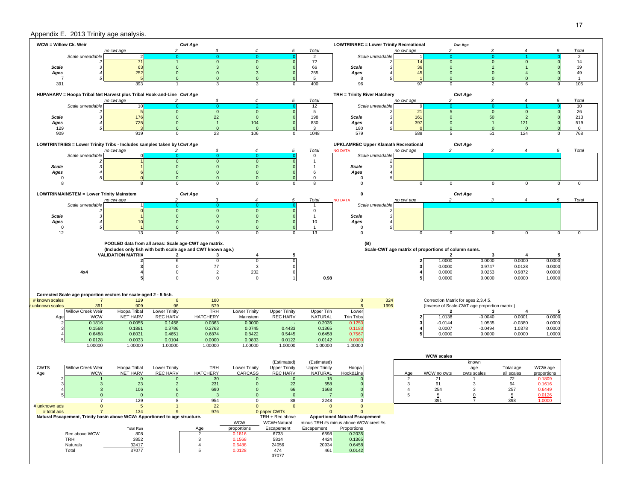### Appendix E. 2013 Trinity age analysis.

| WCW = Willow Ck. Weir                                                                                                   |                                                 |                                                                            |                                  | <b>Cwt Age</b>                                              |                              |                                     |                                     | <b>LOWTRINREC = Lower Trinity Recreational</b> |                |                                                     | <b>Cwt Age</b>                                |                       |                     |                         |
|-------------------------------------------------------------------------------------------------------------------------|-------------------------------------------------|----------------------------------------------------------------------------|----------------------------------|-------------------------------------------------------------|------------------------------|-------------------------------------|-------------------------------------|------------------------------------------------|----------------|-----------------------------------------------------|-----------------------------------------------|-----------------------|---------------------|-------------------------|
|                                                                                                                         | Scale unreadable                                | no cwt age                                                                 | $\overline{c}$<br>$\overline{0}$ | 3<br>$\Omega$                                               | 4<br>$\Omega$                | 5                                   | Total<br>$\overline{2}$             | Scale unreadable                               | no cwt age     | $\overline{2}$<br>$\overline{0}$                    | 3<br>$\Omega$                                 | 4                     | 5                   | Total<br>$\overline{2}$ |
|                                                                                                                         |                                                 | 71                                                                         |                                  | $\mathbf 0$                                                 | $\mathbf{0}$                 |                                     | 72                                  |                                                | 14             | $\mathbf 0$                                         | $\mathbf{0}$                                  | $\Omega$              |                     | 14                      |
| <b>Scale</b>                                                                                                            |                                                 | 63                                                                         | $\Omega$                         | 3                                                           | $\mathbf{0}$                 |                                     | 66                                  | <b>Scale</b><br>3                              | 36             | $\mathbf{0}$                                        | $\overline{2}$                                |                       |                     | 39                      |
| Ages                                                                                                                    |                                                 | 252                                                                        | $\mathbf{0}$                     | $\mathbf{0}$                                                | $\mathbf{3}$                 |                                     | 255                                 | Ages                                           | 4!             | $\mathbf{0}$                                        | $\mathbf{0}$                                  |                       |                     | 49                      |
| $\overline{7}$                                                                                                          |                                                 |                                                                            | $\Omega$                         | $\mathbf{0}$                                                | $\mathbf{0}$                 |                                     | 5                                   | 8                                              |                | $\Omega$                                            | $\Omega$                                      | $\Omega$              |                     | $\overline{1}$          |
| 391<br>393<br>400<br>96<br>105<br>3<br>3<br>97<br>$\mathbf 0$<br>$\overline{2}$<br>0<br>6<br>0                          |                                                 |                                                                            |                                  |                                                             |                              |                                     |                                     |                                                |                |                                                     |                                               |                       |                     |                         |
| HUPAHARV = Hoopa Tribal Net Harvest plus Tribal Hook-and-Line Cwt Age<br>TRH = Trinity River Hatchery<br><b>Cwt Age</b> |                                                 |                                                                            |                                  |                                                             |                              |                                     |                                     |                                                |                |                                                     |                                               |                       |                     |                         |
|                                                                                                                         |                                                 | no cwt age                                                                 |                                  | 3                                                           | $\overline{4}$               | 5                                   | Total                               |                                                | no cwt age     | 2                                                   | 3                                             | $\boldsymbol{4}$      | 5                   | Total                   |
|                                                                                                                         | Scale unreadable                                |                                                                            |                                  |                                                             |                              |                                     | 12                                  | Scale unreadable                               |                |                                                     |                                               |                       |                     | 10                      |
|                                                                                                                         |                                                 | 5                                                                          | $\mathbf{0}$                     | $\mathbf{0}$                                                | $\mathbf{0}$                 |                                     | 5                                   |                                                | 21             | $\overline{5}$                                      | $\mathbf 0$                                   | $\mathbf{0}$          |                     | 26                      |
| <b>Scale</b><br>Ages                                                                                                    |                                                 | 176<br>725                                                                 | $\Omega$<br>$\mathbf{0}$         | 22<br>$\overline{1}$                                        | $\mathbf{0}$<br>104          |                                     | 198<br>830                          | <b>Scale</b><br>Ages                           | 161<br>397     | $\mathbf 0$<br>$\mathbf{0}$                         | 50<br>-1                                      | $\overline{2}$<br>121 |                     | 213<br>519              |
| 129                                                                                                                     |                                                 |                                                                            | $\Omega$                         | $\Omega$                                                    | $\mathbf{0}$                 |                                     | 3                                   | 180                                            |                | $\Omega$                                            | $\Omega$                                      | $\mathbf{0}$          |                     | $\mathbf 0$             |
| 909                                                                                                                     |                                                 | 919                                                                        | $\Omega$                         | 23                                                          | 106                          | $\Omega$                            | 1048                                | 579                                            | 588            | 5                                                   | 51                                            | 124                   | $\Omega$            | 768                     |
|                                                                                                                         |                                                 |                                                                            |                                  |                                                             |                              |                                     |                                     |                                                |                |                                                     |                                               |                       |                     |                         |
|                                                                                                                         |                                                 | LOWTRINTRIBS = Lower Trinity Tribs - Includes samples taken by I Cwt Age   |                                  | 3                                                           | $\boldsymbol{4}$             | 5                                   |                                     | <b>UPKLAMREC Upper Klamath Recreational</b>    | no cwt age     | 2                                                   | <b>Cwt Age</b><br>3                           | $\boldsymbol{\Delta}$ | 5                   | Total                   |
|                                                                                                                         | Scale unreadable                                | no cwt age                                                                 | 2<br>$\Omega$                    | $\Omega$                                                    |                              |                                     | Total<br>0                          | <b>NO DATA</b><br>Scale unreadable             |                |                                                     |                                               |                       |                     |                         |
|                                                                                                                         |                                                 |                                                                            | $\mathbf{0}$                     | $\mathbf{0}$                                                | $\mathbf{0}$                 |                                     | $\mathbf{1}$                        |                                                |                |                                                     |                                               |                       |                     |                         |
| <b>Scale</b>                                                                                                            |                                                 |                                                                            | $\Omega$                         | $\Omega$                                                    | $\mathbf{0}$                 |                                     |                                     | <b>Scale</b><br>3                              |                |                                                     |                                               |                       |                     |                         |
| Ages                                                                                                                    |                                                 |                                                                            | $\mathbf{0}$                     | $\mathbf{0}$                                                | $\mathbf 0$                  |                                     | 6                                   | Ages                                           |                |                                                     |                                               |                       |                     |                         |
| 0<br>8                                                                                                                  |                                                 | 8                                                                          | $\Omega$<br>$\Omega$             | $\mathbf{0}$<br>$\Omega$                                    | $\mathbf{0}$<br>$\mathbf 0$  |                                     | $\Omega$<br>8                       | $\Omega$<br>$\Omega$                           |                | $\mathbf 0$<br>0                                    | $\mathbf 0$                                   | $\mathsf 0$           |                     | $\mathbf 0$             |
|                                                                                                                         |                                                 |                                                                            |                                  |                                                             |                              | 0                                   |                                     |                                                |                |                                                     |                                               |                       | 0                   |                         |
|                                                                                                                         | <b>LOWTRINMAINSTEM = Lower Trinity Mainstem</b> |                                                                            |                                  | <b>Cwt Age</b>                                              |                              |                                     |                                     | 0                                              |                |                                                     | <b>Cwt Age</b>                                |                       |                     |                         |
|                                                                                                                         |                                                 | no cwt age                                                                 | $\overline{2}$                   | $\mathcal{R}$                                               |                              | 5                                   | Total                               | <b>NO DATA</b>                                 | no cwt age     | $\mathcal{P}$                                       | ্ব                                            |                       | 5                   | Total                   |
|                                                                                                                         | Scale unreadable                                |                                                                            |                                  |                                                             |                              |                                     |                                     | Scale unreadable                               |                |                                                     |                                               |                       |                     |                         |
| <b>Scale</b>                                                                                                            |                                                 |                                                                            | $\mathbf 0$<br>$\mathbf{0}$      | $\mathbf{0}$<br>$\mathbf{0}$                                | $\mathbf{0}$<br>$\mathbf{0}$ |                                     | $\mathbf 0$<br>$\mathbf{1}$         | <b>Scale</b><br>3                              |                |                                                     |                                               |                       |                     |                         |
| Ages                                                                                                                    |                                                 | 10                                                                         | $\mathbf{0}$                     | $\mathbf{0}$                                                | $\mathbf{0}$                 |                                     | 10                                  | Ages                                           |                |                                                     |                                               |                       |                     |                         |
| 0                                                                                                                       |                                                 |                                                                            | $\Omega$                         | $\mathbf{0}$                                                | $\Omega$                     |                                     |                                     | $\mathbf 0$                                    |                |                                                     |                                               |                       |                     |                         |
| 12                                                                                                                      |                                                 | 13                                                                         | $\Omega$                         | $\mathbf 0$                                                 | $\Omega$                     | $\Omega$                            | 13                                  | $\Omega$                                       |                | $\mathsf 0$<br>0                                    | $\mathbf 0$                                   | $\mathbf 0$           | $\mathsf{O}\xspace$ | $\mathbf 0$             |
|                                                                                                                         |                                                 |                                                                            |                                  | POOLED data from all areas: Scale age-CWT age matrix.       |                              |                                     |                                     |                                                |                |                                                     |                                               |                       |                     |                         |
|                                                                                                                         |                                                 |                                                                            |                                  | (Includes only fish with both scale age and CWT known age.) |                              |                                     |                                     | (B)                                            |                | Scale-CWT age matrix of proportions of column sums. |                                               |                       |                     |                         |
|                                                                                                                         |                                                 |                                                                            |                                  |                                                             |                              |                                     |                                     |                                                |                |                                                     |                                               |                       |                     |                         |
|                                                                                                                         |                                                 | <b>VALIDATION MATRIX</b>                                                   | $\overline{\mathbf{2}}$          | 3                                                           | 4                            | 5                                   |                                     |                                                |                | -2                                                  | 3                                             | -4                    | 5                   |                         |
|                                                                                                                         |                                                 |                                                                            | 6                                | $\mathsf 0$                                                 | $\overline{0}$               |                                     |                                     |                                                |                | 1.0000                                              | 0.0000                                        | 0.0000                | 0.0000              |                         |
|                                                                                                                         |                                                 |                                                                            | $\mathbf 0$                      | 77                                                          | $\mathbf{3}$                 |                                     |                                     |                                                |                | 0.0000                                              | 0.9747                                        | 0.0128                | 0.0000              |                         |
|                                                                                                                         | 4x4                                             |                                                                            | $\mathbf 0$                      | $\overline{2}$                                              | 232                          |                                     |                                     |                                                |                | 0.0000                                              | 0.0253                                        | 0.9872                | 0.0000              |                         |
|                                                                                                                         |                                                 |                                                                            | $\Omega$                         | $\mathsf 0$                                                 | $\mathbf 0$                  |                                     | 0.98                                |                                                |                | 0.0000                                              | 0.0000                                        | 0.0000                | 1.0000              |                         |
|                                                                                                                         |                                                 |                                                                            |                                  |                                                             |                              |                                     |                                     |                                                |                |                                                     |                                               |                       |                     |                         |
|                                                                                                                         |                                                 |                                                                            |                                  |                                                             |                              |                                     |                                     |                                                |                |                                                     |                                               |                       |                     |                         |
| # known scales                                                                                                          | $\overline{7}$                                  | Corrected Scale age proportion vectors for scale-aged 2 - 5 fish.<br>129   | $\boldsymbol{8}$                 | 180                                                         |                              |                                     |                                     | 324<br>$\Omega$                                |                | Correction Matrix for ages 2,3,4,5.                 |                                               |                       |                     |                         |
| unknown scales                                                                                                          | 391                                             | 909                                                                        | 96                               | 579                                                         |                              |                                     |                                     | 1995                                           |                |                                                     | (Inverse of Scale-CWT age proportion matrix.) |                       |                     |                         |
|                                                                                                                         | Willow Creek Weir                               | Hoopa Tribal                                                               | <b>Lower Trinity</b>             | <b>TRH</b>                                                  | <b>Lower Trinity</b>         | <b>Upper Trinity</b>                | Upper Trin                          | Lower                                          |                | $\overline{2}$                                      | 3                                             | $\overline{4}$        | 5                   |                         |
| Age                                                                                                                     | <b>WCW</b>                                      | <b>NET HARV</b>                                                            | <b>REC HARV</b>                  | <b>HATCHERY</b>                                             | Mainstem                     | <b>REC HARV</b>                     | <b>NATURAL</b>                      | <b>Trin Tribs</b>                              |                | 1.0138                                              | $-0.0040$                                     | 0.0001                | 0.0000              |                         |
|                                                                                                                         | 0.1816                                          | 0.0055                                                                     | 0.1458                           | 0.0363                                                      | 0.0000                       |                                     | 0.2035                              | 0.1250                                         |                | $-0.0144$                                           | 1.0535                                        | $-0.0380$             | 0.0000              |                         |
|                                                                                                                         | 0.1568<br>0.6488                                | 0.1881<br>0.8031                                                           | 0.3786<br>0.4651                 | 0.2763<br>0.6874                                            | 0.0745<br>0.8422             | 0.4433<br>0.5445                    | 0.1365<br>0.6458                    | 0.1183<br>0.7567                               |                | 0.0007<br>0.0000                                    | $-0.0494$<br>0.0000                           | 1.0378<br>0.0000      | 0.0000<br>1.0000    |                         |
|                                                                                                                         | 0.0128                                          | 0.0033                                                                     | 0.0104                           | 0.0000                                                      | 0.0833                       | 0.0122                              | 0.0142                              | 0.000                                          |                |                                                     |                                               |                       |                     |                         |
|                                                                                                                         | 1.00000                                         | 1.00000                                                                    | 1.00000                          | 1.00000                                                     | 1.00000                      | 1.00000                             | 1.00000                             | 1.00000                                        |                |                                                     |                                               |                       |                     |                         |
|                                                                                                                         |                                                 |                                                                            |                                  |                                                             |                              |                                     |                                     |                                                |                |                                                     |                                               |                       |                     |                         |
|                                                                                                                         |                                                 |                                                                            |                                  |                                                             |                              |                                     |                                     |                                                |                | <b>WCW scales</b>                                   |                                               |                       |                     |                         |
| <b>CWTS</b>                                                                                                             | Willow Creek Weir                               | Hoopa Tribal                                                               | <b>Lower Trinity</b>             | <b>TRH</b>                                                  | Lower Trinity                | (Estimated)<br><b>Upper Trinity</b> | (Estimated)<br><b>Upper Trinity</b> | Hoopa                                          |                |                                                     | known<br>age                                  | Total age             | WCW age             |                         |
| Age                                                                                                                     | <b>WCW</b>                                      | <b>NET HARV</b>                                                            | <b>REC HARV</b>                  | <b>HATCHERY</b>                                             | CARCASS                      | <b>REC HARV</b>                     | <b>NATURAL</b>                      | Hook&Line                                      | Age            | WCW no cwts                                         | cwts scales                                   | all scales            | proportions         |                         |
|                                                                                                                         |                                                 | $\mathbf{0}$                                                               | $\mathbf 0$                      | 30                                                          | $\mathbf{0}$                 | $\mathbf{0}$                        | 15                                  |                                                | $\overline{2}$ | 71                                                  |                                               | 72                    | 0.1809              |                         |
|                                                                                                                         | 3                                               | 23                                                                         | $\overline{2}$                   | 231                                                         | $\mathbf{0}$                 | 22                                  | 558                                 |                                                | 3              | 61                                                  | 3                                             | 64                    | 0.1616              |                         |
|                                                                                                                         | 3                                               | 106                                                                        | 6                                | 690                                                         | $\mathbf{0}$                 | 66                                  | 1668                                |                                                |                | 254                                                 | 3                                             | 257                   | 0.6449              |                         |
|                                                                                                                         | $\mathbf{0}$                                    | $\mathbf{0}$<br>129                                                        | $\mathbf{0}$<br>8                | 3<br>954                                                    | $\mathbf{0}$<br>$\Omega$     | $\mathbf{0}$<br>88                  | $\overline{7}$<br>2248              |                                                |                | $\overline{5}$<br>391                               | 0                                             | $\overline{5}$<br>398 | 0.0126<br>1.0000    |                         |
| # unknown ads                                                                                                           | $\mathbf{0}$                                    | $\sqrt{5}$                                                                 | $\mathbf{1}$                     | 22                                                          | $\mathbf{0}$                 | $\mathbf 0$                         | $\mathbf 0$                         | $\mathbf{0}$                                   |                |                                                     |                                               |                       |                     |                         |
| # total ads                                                                                                             | $\overline{7}$                                  | 134                                                                        | 9                                | 976                                                         |                              | 0 paper CWTs                        | $\mathbf{0}$                        | $\Omega$                                       |                |                                                     |                                               |                       |                     |                         |
|                                                                                                                         |                                                 | Natural Escapement, Trinity basin above WCW: Apportioned to age structure. |                                  |                                                             |                              | TRH + Rec above                     |                                     | <b>Apportioned Natural Escapement</b>          |                |                                                     |                                               |                       |                     |                         |
|                                                                                                                         |                                                 |                                                                            |                                  |                                                             | <b>WCW</b>                   | WCW+Natural                         |                                     | minus TRH #s minus above WCW creel #s          |                |                                                     |                                               |                       |                     |                         |
|                                                                                                                         | Rec above WCW                                   | <b>Total Run</b><br>808                                                    |                                  | Age<br>$\overline{2}$                                       | proportions<br>0.1816        | Escapement<br>6733                  | Escapement                          | Proportions<br>0.2035                          |                |                                                     |                                               |                       |                     |                         |
|                                                                                                                         | TRH                                             | 3852                                                                       |                                  | 3                                                           | 0.1568                       | 5814                                | 6598<br>4424                        | 0.1365                                         |                |                                                     |                                               |                       |                     |                         |
|                                                                                                                         | Naturals                                        | 32417                                                                      |                                  | $\overline{4}$                                              | 0.6488                       | 24056                               | 20934                               | 0.6458                                         |                |                                                     |                                               |                       |                     |                         |
|                                                                                                                         | Total                                           | 37077                                                                      |                                  | 5                                                           | 0.0128                       | 474<br>37077                        | 461                                 | 0.0142                                         |                |                                                     |                                               |                       |                     |                         |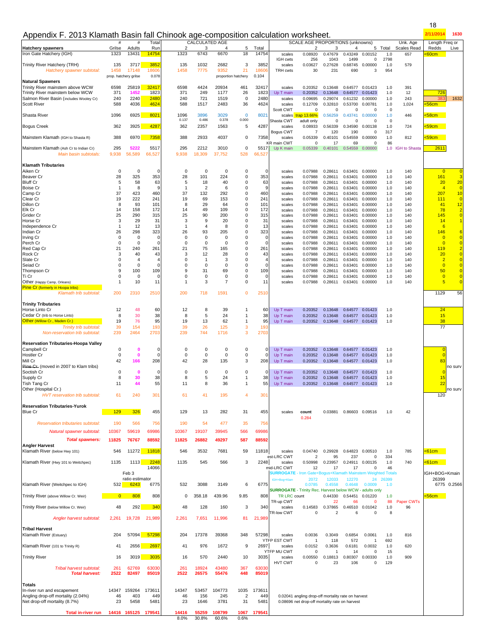| Appendix F. 2013 Klamath Basin fall Chinook age-composition calculation worksheet.                                                                                                                                                                                                                                                                                                                                                                                                                                                       |                                                                                                                                                                                                 |                                                                                                                                                                                               |                                                                                                                                                                                           |                                                                                                                                                                                                    |                                                                                                                                                                                 |                                                                                                                                                                                     |                                                                                                                                                                                                   |                                                                                                                                                               |                                                                                                                                                                                                                                          |                                                                                                                                                                                                                                                                      |                                                                                                                                                                                                                                                           |                                                                                                                                                                                                                                     |                                                                                                                                                                                                                                                                           |                                                                                                                                                               |                                                                                                                                                 | 2/11/2014                                                                                                                                                                                                                                    | 1630                                                                                                                                                                                                                                                                                          |
|------------------------------------------------------------------------------------------------------------------------------------------------------------------------------------------------------------------------------------------------------------------------------------------------------------------------------------------------------------------------------------------------------------------------------------------------------------------------------------------------------------------------------------------|-------------------------------------------------------------------------------------------------------------------------------------------------------------------------------------------------|-----------------------------------------------------------------------------------------------------------------------------------------------------------------------------------------------|-------------------------------------------------------------------------------------------------------------------------------------------------------------------------------------------|----------------------------------------------------------------------------------------------------------------------------------------------------------------------------------------------------|---------------------------------------------------------------------------------------------------------------------------------------------------------------------------------|-------------------------------------------------------------------------------------------------------------------------------------------------------------------------------------|---------------------------------------------------------------------------------------------------------------------------------------------------------------------------------------------------|---------------------------------------------------------------------------------------------------------------------------------------------------------------|------------------------------------------------------------------------------------------------------------------------------------------------------------------------------------------------------------------------------------------|----------------------------------------------------------------------------------------------------------------------------------------------------------------------------------------------------------------------------------------------------------------------|-----------------------------------------------------------------------------------------------------------------------------------------------------------------------------------------------------------------------------------------------------------|-------------------------------------------------------------------------------------------------------------------------------------------------------------------------------------------------------------------------------------|---------------------------------------------------------------------------------------------------------------------------------------------------------------------------------------------------------------------------------------------------------------------------|---------------------------------------------------------------------------------------------------------------------------------------------------------------|-------------------------------------------------------------------------------------------------------------------------------------------------|----------------------------------------------------------------------------------------------------------------------------------------------------------------------------------------------------------------------------------------------|-----------------------------------------------------------------------------------------------------------------------------------------------------------------------------------------------------------------------------------------------------------------------------------------------|
| <b>Hatchery spawners</b><br>Iron Gate Hatchery (IGH)                                                                                                                                                                                                                                                                                                                                                                                                                                                                                     | #<br>Grilse<br>1323                                                                                                                                                                             | #<br>Adults<br>13431                                                                                                                                                                          | Total<br>Run<br>14754                                                                                                                                                                     | 2<br>1323                                                                                                                                                                                          | <b>CALCULATED AGE</b><br>З<br>6743                                                                                                                                              | $\overline{4}$<br>6670                                                                                                                                                              | 5<br>18                                                                                                                                                                                           | Total<br>14754                                                                                                                                                | scales                                                                                                                                                                                                                                   | SCALE AGE PROPORTIONS (unknowns)<br>2<br>0.08920                                                                                                                                                                                                                     | 3<br>0.47679                                                                                                                                                                                                                                              | 4<br>0.43249                                                                                                                                                                                                                        | 0.00152                                                                                                                                                                                                                                                                   | 5 Total<br>1.0                                                                                                                                                | Unk. Age<br>Scales Read<br>657                                                                                                                  | Length Freq or<br>Redds<br>:60cm                                                                                                                                                                                                             | Live                                                                                                                                                                                                                                                                                          |
| Trinity River Hatchery (TRH)<br>Hatchery spawner subtotal:                                                                                                                                                                                                                                                                                                                                                                                                                                                                               | 135<br>1458                                                                                                                                                                                     | 3717<br>17148                                                                                                                                                                                 | 3852<br>18606                                                                                                                                                                             | 135<br>1458                                                                                                                                                                                        | 1032<br>7775                                                                                                                                                                    | 2682<br>9352                                                                                                                                                                        | 3<br>21                                                                                                                                                                                           | 3852<br>18606                                                                                                                                                 | IGH cwts<br>scales<br><b>TRH cwts</b>                                                                                                                                                                                                    | 256<br>0.03627<br>30                                                                                                                                                                                                                                                 | 1043<br>0.27628<br>231                                                                                                                                                                                                                                    | 1499<br>0.68745<br>690                                                                                                                                                                                                              | 0<br>0.00000<br>3                                                                                                                                                                                                                                                         | 2798<br>1.0<br>954                                                                                                                                            | 579                                                                                                                                             |                                                                                                                                                                                                                                              |                                                                                                                                                                                                                                                                                               |
| <b>Natural Spawners</b><br>Trinity River mainstem above WCW<br>Trinity River mainstem below WCW<br>Salmon River Basin (includes Wooley Cr)<br><b>Scott River</b>                                                                                                                                                                                                                                                                                                                                                                         | 6598<br>371<br>240<br>588                                                                                                                                                                       | prop. hatchery grilse<br>25819<br>1452<br>2240<br>4036                                                                                                                                        | 0.078<br>32417<br>1823<br>2480<br>4624                                                                                                                                                    | 6598<br>371<br>240<br>588                                                                                                                                                                          | 4424<br>249<br>721<br>1517                                                                                                                                                      | 20934<br>1177<br>1519<br>2483                                                                                                                                                       | proportion hatchery<br>461<br>26<br>0<br>36                                                                                                                                                       | 0.104<br>32417<br>1823<br>2480<br>4624                                                                                                                        | scales<br>Up T main<br>scales<br>scales                                                                                                                                                                                                  | 0.20352<br>0.20352<br>0.09695<br>0.12709                                                                                                                                                                                                                             | 0.13648<br>0.13648<br>0.29074<br>0.32810                                                                                                                                                                                                                  | 0.64577<br>0.61232<br>0.53700                                                                                                                                                                                                       | 0.64577 0.01423<br>0.01423<br>0.00000<br>0.00781                                                                                                                                                                                                                          | 1.0<br>1.0<br>1.0<br>1.0                                                                                                                                      | 391<br>12<br>243<br>1,024                                                                                                                       | 726<br>38<br>56cm                                                                                                                                                                                                                            | 1632                                                                                                                                                                                                                                                                                          |
| Shasta River                                                                                                                                                                                                                                                                                                                                                                                                                                                                                                                             | 1096                                                                                                                                                                                            | 6925                                                                                                                                                                                          | 8021                                                                                                                                                                                      | 1096<br>0.137                                                                                                                                                                                      | 3896<br>0.486                                                                                                                                                                   | 3029<br>0.378                                                                                                                                                                       | 0<br>0.000                                                                                                                                                                                        | 8021                                                                                                                                                          | Scott CWT<br>scales<br>Shasta CWT                                                                                                                                                                                                        | $\Omega$<br>trap 13.66%<br>adult only                                                                                                                                                                                                                                | $\Omega$<br>0.56259<br>$\Omega$                                                                                                                                                                                                                           | 0<br>0.43741<br>$\Omega$                                                                                                                                                                                                            | $\Omega$<br>0.00000<br>$\Omega$                                                                                                                                                                                                                                           | $\mathsf 0$<br>1.0<br>$\mathbf 0$                                                                                                                             | 446                                                                                                                                             | 58cm                                                                                                                                                                                                                                         |                                                                                                                                                                                                                                                                                               |
| <b>Bogus Creek</b>                                                                                                                                                                                                                                                                                                                                                                                                                                                                                                                       | 362                                                                                                                                                                                             | 3925                                                                                                                                                                                          | 4287                                                                                                                                                                                      | 362                                                                                                                                                                                                | 2357                                                                                                                                                                            | 1563                                                                                                                                                                                | 5                                                                                                                                                                                                 | 4287                                                                                                                                                          | scales<br>Bogus CWT                                                                                                                                                                                                                      | 0.08933<br>$\overline{7}$                                                                                                                                                                                                                                            | 0.56339<br>120                                                                                                                                                                                                                                            | 0.34590<br>190                                                                                                                                                                                                                      | 0.00138<br>0                                                                                                                                                                                                                                                              | 1.0<br>317                                                                                                                                                    | 724                                                                                                                                             | :59cm                                                                                                                                                                                                                                        |                                                                                                                                                                                                                                                                                               |
| Mainstem Klamath (IGH to Shasta R)                                                                                                                                                                                                                                                                                                                                                                                                                                                                                                       | 388                                                                                                                                                                                             | 6970                                                                                                                                                                                          | 7358                                                                                                                                                                                      | 388                                                                                                                                                                                                | 2933                                                                                                                                                                            | 4037                                                                                                                                                                                | 0                                                                                                                                                                                                 | 7358                                                                                                                                                          | scales<br><b>KR</b> main CWT                                                                                                                                                                                                             | 0.05339<br>$\Omega$                                                                                                                                                                                                                                                  | 0.40101<br>17                                                                                                                                                                                                                                             | 0.54559<br>69                                                                                                                                                                                                                       | 0.00000<br>$\Omega$                                                                                                                                                                                                                                                       | 1.0<br>86                                                                                                                                                     | 812                                                                                                                                             | 59cm                                                                                                                                                                                                                                         |                                                                                                                                                                                                                                                                                               |
| Mainstem Klamath (Ash Cr to Indian Cr)<br>Main basin subtotals:                                                                                                                                                                                                                                                                                                                                                                                                                                                                          | 295<br>9,938                                                                                                                                                                                    | 5222<br>56,589                                                                                                                                                                                | 5517<br>66,527                                                                                                                                                                            | 295<br>9,938                                                                                                                                                                                       | 2212<br>18,309                                                                                                                                                                  | 3010<br>37,752                                                                                                                                                                      | 0<br>528                                                                                                                                                                                          | 5517<br>66,527                                                                                                                                                | Up K main                                                                                                                                                                                                                                | 0.05339                                                                                                                                                                                                                                                              | 0.40101                                                                                                                                                                                                                                                   | 0.54559                                                                                                                                                                                                                             | 0.00000                                                                                                                                                                                                                                                                   | 1.0                                                                                                                                                           | <b>IGH</b> to Shasta                                                                                                                            | 2611                                                                                                                                                                                                                                         |                                                                                                                                                                                                                                                                                               |
| <b>Klamath Tributaries</b><br>Aiken Cr<br><b>Beaver Cr</b><br><b>Bluff Cr</b><br><b>Boise Cr</b><br>Camp Cr<br>Clear Cr<br><b>Dillon Cr</b><br>Elk Cr<br>Grider Cr<br><b>Horse Cr</b><br>Independence Cr<br>Indian Cr<br>Irving Cr<br>Perch Cr<br>Red Cap Cr<br>Rock Cr<br>Slate Cr<br>Seiad Cr<br>Thompson Cr<br>Ti Cr<br>Other (Happy Camp, Orleans)<br>Pine Cr (formerly in Hoopa tribs)<br>Klamath trib subtotal:<br><b>Trinity Tributaries</b><br>Horse Linto Cr<br>Cedar Cr (trib to Horse Linto)<br>Other (Willow Cr., Maden Cr.) | 0<br>28<br>5<br>$\mathbf{1}$<br>37<br>19<br>8<br>14<br>25<br>3<br>$\mathbf{1}$<br>26<br>$\mathbf 0$<br>0<br>21<br>3<br>$\mathbf 0$<br>0<br>9<br>$\mathbf 0$<br>$\overline{1}$<br>200<br>12<br>8 | 0<br>325<br>58<br>8<br>423<br>222<br>93<br>158<br>290<br>29<br>12<br>298<br>$\mathbf 0$<br>$\Omega$<br>240<br>40<br>$\overline{4}$<br>0<br>100<br>$\mathbf 0$<br>10<br>2310<br>48<br>30<br>76 | $\Omega$<br>353<br>63<br>g<br>460<br>241<br>101<br>172<br>315<br>31<br>13<br>323<br>$\Omega$<br>$\Omega$<br>261<br>43<br>4<br>$\Omega$<br>109<br>$\Omega$<br>11<br>2510<br>60<br>38<br>95 | 0<br>28<br>5<br>$\mathbf{1}$<br>37<br>19<br>8<br>14<br>25<br>3<br>$\mathbf{1}$<br>26<br>$\Omega$<br>$\Omega$<br>21<br>3<br>$\Omega$<br>$\Omega$<br>9<br>$\Omega$<br>$\mathbf{1}$<br>200<br>12<br>8 | 0<br>101<br>18<br>$\overline{2}$<br>132<br>69<br>29<br>49<br>90<br>9<br>4<br>93<br>$\mathbf 0$<br>0<br>75<br>12<br>$\mathbf{1}$<br>0<br>31<br>$\mathbf 0$<br>3<br>718<br>8<br>5 | 0<br>224<br>40<br>6<br>292<br>153<br>64<br>109<br>200<br>20<br>8<br>205<br>$\mathbf 0$<br>0<br>165<br>28<br>3<br>0<br>69<br>$\mathbf 0$<br>$\overline{7}$<br>1591<br>39<br>24<br>62 | 0<br>0<br>0<br>0<br>0<br>$\mathbf 0$<br>0<br>0<br>0<br>$\mathbf 0$<br>0<br>0<br>$\mathbf 0$<br>0<br>$\mathbf 0$<br>0<br>$\mathbf 0$<br>0<br>0<br>0<br>0<br>0<br>$\mathbf{1}$<br>1<br>$\mathbf{1}$ | 0<br>353<br>63<br>9<br>460<br>241<br>101<br>172<br>315<br>31<br>13<br>323<br>0<br>0<br>261<br>43<br>4<br>0<br>109<br>$\Omega$<br>11<br>2510<br>60<br>38<br>95 | scales<br>scales<br>scales<br>scales<br>scales<br>scales<br>scales<br>scales<br>scales<br>scales<br>scales<br>scales<br>scales<br>scales<br>scales<br>scales<br>scales<br>scales<br>scales<br>scales<br>scales<br>Up T main<br>Up T main | 0.07988<br>0.07988<br>0.07988<br>0.07988<br>0.07988<br>0.07988<br>0.07988<br>0.07988<br>0.07988<br>0.07988<br>0.07988<br>0.07988<br>0.07988<br>0.07988<br>0.07988<br>0.07988<br>0.07988<br>0.07988<br>0.07988<br>0.07988<br>0.07988<br>0.20352<br>0.20352<br>0.20352 | 0.28611<br>0.28611<br>0.28611<br>0.28611<br>0.28611<br>0.28611<br>0.28611<br>0.28611<br>0.28611<br>0.28611<br>0.28611<br>0.28611<br>0.28611<br>0.28611<br>0.28611<br>0.28611<br>0.28611<br>0.28611<br>0.28611<br>0.28611<br>0.28611<br>0.13648<br>0.13648 | 0.63401<br>0.63401<br>0.63401<br>0.63401<br>0.63401<br>0.63401<br>0.63401<br>0.63401<br>0.63401<br>0.63401<br>0.63401<br>0.63401<br>0.63401<br>0.63401<br>0.63401<br>0.63401<br>0.63401<br>0.63401<br>0.63401<br>0.63401<br>0.63401 | 0.00000<br>0.00000<br>0.00000<br>0.00000<br>0.00000<br>0.00000<br>0.00000<br>0.00000<br>0.00000<br>0.00000<br>0.00000<br>0.00000<br>0.00000<br>0.00000<br>0.00000<br>0.00000<br>0.00000<br>0.00000<br>0.00000<br>0.00000<br>0.00000<br>0.64577 0.01423<br>0.64577 0.01423 | 1.0<br>1.0<br>1.0<br>1.0<br>1.0<br>1.0<br>1.0<br>1.0<br>1.0<br>1.0<br>1.0<br>1.0<br>1.0<br>1.0<br>1.0<br>1.0<br>1.0<br>1.0<br>1.0<br>1.0<br>1.0<br>1.0<br>1.0 | 140<br>140<br>140<br>140<br>140<br>140<br>140<br>140<br>140<br>140<br>140<br>140<br>140<br>140<br>140<br>140<br>140<br>140<br>140<br>140<br>140 | $\overline{0}$<br>161<br>20<br>$\overline{4}$<br>207<br>111<br>41<br>78<br>145<br>14<br>6<br>146<br>$\overline{0}$<br>$\overline{0}$<br>119<br>20<br>$\overline{2}$<br>$\overline{0}$<br>50<br>$\overline{0}$<br>5<br>1129<br>24<br>15<br>38 | 3<br>20 <sub>2</sub><br>$\overline{0}$<br>10<br>$\overline{0}$<br>12 <sub>2</sub><br>$\frac{2}{0}$<br>$\mathbf{1}$<br>6<br>$\overline{0}$<br>$\overline{0}$<br>$\overline{2}$<br>$\overline{0}$<br>$\mathbf{0}$<br>$\overline{0}$<br>$\overline{0}$<br>$\overline{0}$<br>$\overline{0}$<br>56 |
| Trinity trib subtotal:<br>Non-reservation trib subtotal:                                                                                                                                                                                                                                                                                                                                                                                                                                                                                 | 19<br>39<br>239                                                                                                                                                                                 | 154<br>2464                                                                                                                                                                                   | 193<br>2703                                                                                                                                                                               | 19<br>39<br>239                                                                                                                                                                                    | 13<br>26<br>744                                                                                                                                                                 | 125<br>1716                                                                                                                                                                         | 3<br>3                                                                                                                                                                                            | 193<br>2703                                                                                                                                                   | Up T main                                                                                                                                                                                                                                |                                                                                                                                                                                                                                                                      | 0.13648                                                                                                                                                                                                                                                   |                                                                                                                                                                                                                                     | 0.64577 0.01423                                                                                                                                                                                                                                                           | 1.0                                                                                                                                                           |                                                                                                                                                 | 77                                                                                                                                                                                                                                           |                                                                                                                                                                                                                                                                                               |
| <b>Reservation Tributaries-Hoopa Valley</b><br>Campbell Cr<br><b>Hostler Cr</b><br>Mill Cr<br>Pine Gr. (moved in 2007 to Klam tribs)<br>Soctish Cr<br>Supply Cr<br>Tish Tang Cr<br>Other (Hospital Cr.)<br>HVT reservation trib subtotal:                                                                                                                                                                                                                                                                                                | $\pmb{0}$<br>0<br>42<br>0<br>8<br>11<br>61                                                                                                                                                      | 0<br>$\mathbf 0$<br>166<br>$\mathbf 0$<br>30<br>44<br>240                                                                                                                                     | $\Omega$<br>$\Omega$<br>208<br>$\Omega$<br>38<br>55<br>301                                                                                                                                | 0<br>0<br>42<br>0<br>8<br>11<br>61                                                                                                                                                                 | 0<br>0<br>28<br>0<br>5<br>8<br>41                                                                                                                                               | $\mathbf 0$<br>0<br>135<br>$\mathbf 0$<br>24<br>36<br>195                                                                                                                           | 0<br>0<br>3<br>0<br>$\mathbf{1}$<br>1<br>4                                                                                                                                                        | 0<br>$\Omega$<br>208<br>0<br>38<br>55<br>301                                                                                                                  | Up T main<br>Up T main<br>Up T main<br>Up T main<br>Up T main<br>Up T main                                                                                                                                                               | 0.20352<br>0.20352<br>0.20352<br>0.20352<br>0.20352<br>0.20352                                                                                                                                                                                                       | 0.13648<br>0.13648<br>0.13648<br>0.13648<br>0.13648<br>0.13648  0.64577  0.01423                                                                                                                                                                          |                                                                                                                                                                                                                                     | 0.64577 0.01423<br>0.64577 0.01423<br>0.64577 0.01423<br>0.64577 0.01423<br>0.64577 0.01423                                                                                                                                                                               | 1.0<br>1.0<br>1.0<br>1.0<br>1.0<br>1.0                                                                                                                        |                                                                                                                                                 | $\overline{0}$<br>$\overline{0}$<br>83<br>$\Omega$<br>15<br>22<br>120                                                                                                                                                                        | no surv<br>no surv                                                                                                                                                                                                                                                                            |
| <b>Reservation Tributaries-Yurok</b><br><b>Blue Cr</b>                                                                                                                                                                                                                                                                                                                                                                                                                                                                                   | 129                                                                                                                                                                                             | 326                                                                                                                                                                                           | 455                                                                                                                                                                                       | 129                                                                                                                                                                                                | 13                                                                                                                                                                              | 282                                                                                                                                                                                 | 31                                                                                                                                                                                                | 455                                                                                                                                                           | scales                                                                                                                                                                                                                                   | count                                                                                                                                                                                                                                                                | 0.03881                                                                                                                                                                                                                                                   | 0.86603 0.09516                                                                                                                                                                                                                     |                                                                                                                                                                                                                                                                           | 1.0                                                                                                                                                           | 42                                                                                                                                              |                                                                                                                                                                                                                                              |                                                                                                                                                                                                                                                                                               |
| <b>Reservation tributaries subtotal:</b><br>Natural spawner subtotal:<br><b>Total spawners:</b>                                                                                                                                                                                                                                                                                                                                                                                                                                          | 190<br>10367<br>11825                                                                                                                                                                           | 566<br>59619<br>76767                                                                                                                                                                         | 756<br>69986<br>88592                                                                                                                                                                     | 190<br>10367<br>11825                                                                                                                                                                              | 54<br>19107<br>26882                                                                                                                                                            | 477<br>39945<br>49297                                                                                                                                                               | 35<br>566<br>587                                                                                                                                                                                  | 756<br>69986<br>88592                                                                                                                                         |                                                                                                                                                                                                                                          | 0.284                                                                                                                                                                                                                                                                |                                                                                                                                                                                                                                                           |                                                                                                                                                                                                                                     |                                                                                                                                                                                                                                                                           |                                                                                                                                                               |                                                                                                                                                 |                                                                                                                                                                                                                                              |                                                                                                                                                                                                                                                                                               |
| <b>Angler Harvest</b><br>Klamath River (below Hwy 101)                                                                                                                                                                                                                                                                                                                                                                                                                                                                                   | 546                                                                                                                                                                                             | 11272                                                                                                                                                                                         | 11818                                                                                                                                                                                     | 546                                                                                                                                                                                                | 3532                                                                                                                                                                            | 7681                                                                                                                                                                                | 59                                                                                                                                                                                                | 11818                                                                                                                                                         | scales                                                                                                                                                                                                                                   | 0.04740                                                                                                                                                                                                                                                              | 0.29928                                                                                                                                                                                                                                                   | 0.64823                                                                                                                                                                                                                             | 0.00510                                                                                                                                                                                                                                                                   | 1.0                                                                                                                                                           | 785                                                                                                                                             | <61cm                                                                                                                                                                                                                                        |                                                                                                                                                                                                                                                                                               |
| Klamath River (Hwy 101 to Weitchpec)                                                                                                                                                                                                                                                                                                                                                                                                                                                                                                     | 1135                                                                                                                                                                                            | 1113<br>Feb 3                                                                                                                                                                                 | 2248<br>14066                                                                                                                                                                             | 1135                                                                                                                                                                                               | 545                                                                                                                                                                             | 566                                                                                                                                                                                 | 3                                                                                                                                                                                                 | 2248                                                                                                                                                          | est-LRC CWT<br>scales<br>mid-LRC CWT                                                                                                                                                                                                     | $\overline{2}$<br>0.50998<br>12<br><b>SURROGATE</b> - Iron Gate+Bogus+Klamath Mainstem Weighted Totals                                                                                                                                                               | 95<br>0.23957<br>17                                                                                                                                                                                                                                       | 237<br>17                                                                                                                                                                                                                           | $\mathbf 0$<br>0.24911 0.00135<br>$\Omega$                                                                                                                                                                                                                                | 334<br>1.0<br>46                                                                                                                                              | 740                                                                                                                                             | $61cm$<br>IGH+BOG+Kmain                                                                                                                                                                                                                      |                                                                                                                                                                                                                                                                                               |
| Klamath River (Weitchpec to IGH)                                                                                                                                                                                                                                                                                                                                                                                                                                                                                                         | 532                                                                                                                                                                                             | ratio estimator<br>6243                                                                                                                                                                       | 6775                                                                                                                                                                                      | 532                                                                                                                                                                                                | 3088                                                                                                                                                                            | 3149                                                                                                                                                                                | 6                                                                                                                                                                                                 | 6775                                                                                                                                                          | IGH+Bog+Klan                                                                                                                                                                                                                             | 2072<br>0.0785                                                                                                                                                                                                                                                       | 12033<br>0.4558                                                                                                                                                                                                                                           | 12270<br>0.4648                                                                                                                                                                                                                     | 24<br>0.0009                                                                                                                                                                                                                                                              | 26399<br>1.0                                                                                                                                                  |                                                                                                                                                 | 26399                                                                                                                                                                                                                                        | 6775 0.2566                                                                                                                                                                                                                                                                                   |
| Trinity River (above Willow Cr. Weir)                                                                                                                                                                                                                                                                                                                                                                                                                                                                                                    | $\overline{\phantom{0}}$ 0                                                                                                                                                                      | 808                                                                                                                                                                                           | 808                                                                                                                                                                                       | 0                                                                                                                                                                                                  | 358.18                                                                                                                                                                          | 439.96                                                                                                                                                                              | 9.85                                                                                                                                                                                              | 808                                                                                                                                                           | <b>SURROGATE</b> - Trinity Rec. Harvest below WCW - adults only<br><b>TR LRC</b> count                                                                                                                                                   |                                                                                                                                                                                                                                                                      | 0.44330                                                                                                                                                                                                                                                   | 0.54451                                                                                                                                                                                                                             | 0.01220                                                                                                                                                                                                                                                                   | 1.0                                                                                                                                                           |                                                                                                                                                 | <mark>&lt;56cm</mark>                                                                                                                                                                                                                        |                                                                                                                                                                                                                                                                                               |
| Trinity River (below Willow Cr. Weir)                                                                                                                                                                                                                                                                                                                                                                                                                                                                                                    | 48                                                                                                                                                                                              | 292                                                                                                                                                                                           | 340                                                                                                                                                                                       | 48                                                                                                                                                                                                 | 128                                                                                                                                                                             | 160                                                                                                                                                                                 | 3                                                                                                                                                                                                 | 340                                                                                                                                                           | TR-up CWT<br>scales                                                                                                                                                                                                                      | 0.14583                                                                                                                                                                                                                                                              | 22<br>0.37865                                                                                                                                                                                                                                             | 66<br>0.46510                                                                                                                                                                                                                       | $\mathbf 0$<br>0.01042                                                                                                                                                                                                                                                    | 88<br>1.0                                                                                                                                                     | Paper CWTs<br>96                                                                                                                                |                                                                                                                                                                                                                                              |                                                                                                                                                                                                                                                                                               |
| Angler harvest subtotal:                                                                                                                                                                                                                                                                                                                                                                                                                                                                                                                 | 2,261                                                                                                                                                                                           | 19,728                                                                                                                                                                                        | 21,989                                                                                                                                                                                    | 2,261                                                                                                                                                                                              | 7,651                                                                                                                                                                           | 11,996                                                                                                                                                                              | 81                                                                                                                                                                                                | 21,989                                                                                                                                                        | <b>TR-low CWT</b>                                                                                                                                                                                                                        | $\mathbf 0$                                                                                                                                                                                                                                                          | $\overline{2}$                                                                                                                                                                                                                                            | 6                                                                                                                                                                                                                                   | $\mathbf 0$                                                                                                                                                                                                                                                               | 8                                                                                                                                                             |                                                                                                                                                 |                                                                                                                                                                                                                                              |                                                                                                                                                                                                                                                                                               |
| <b>Tribal Harvest</b><br>Klamath River (Estuary)                                                                                                                                                                                                                                                                                                                                                                                                                                                                                         | 204                                                                                                                                                                                             | 57094                                                                                                                                                                                         | 57298                                                                                                                                                                                     | 204                                                                                                                                                                                                | 17378                                                                                                                                                                           | 39368                                                                                                                                                                               | 348                                                                                                                                                                                               | 57298                                                                                                                                                         | scales<br>YTFP EST CWT                                                                                                                                                                                                                   | 0.0036<br>-1                                                                                                                                                                                                                                                         | 0.3049<br>118                                                                                                                                                                                                                                             | 0.6854<br>572                                                                                                                                                                                                                       | 0.0061<br>$\overline{1}$                                                                                                                                                                                                                                                  | 1.0<br>692                                                                                                                                                    | 816                                                                                                                                             |                                                                                                                                                                                                                                              |                                                                                                                                                                                                                                                                                               |
| Klamath River (101 to Trinity R)                                                                                                                                                                                                                                                                                                                                                                                                                                                                                                         | 41                                                                                                                                                                                              | 2656                                                                                                                                                                                          | 2697                                                                                                                                                                                      | 41                                                                                                                                                                                                 | 976                                                                                                                                                                             | 1672                                                                                                                                                                                | 9                                                                                                                                                                                                 | 2697                                                                                                                                                          | scales<br>YTFP MU CWT                                                                                                                                                                                                                    | 0.0152<br>0                                                                                                                                                                                                                                                          | 0.3636<br>$\overline{1}$                                                                                                                                                                                                                                  | 0.6181<br>14                                                                                                                                                                                                                        | 0.0032<br>$\mathbf 0$                                                                                                                                                                                                                                                     | 1.0<br>15                                                                                                                                                     | 620                                                                                                                                             |                                                                                                                                                                                                                                              |                                                                                                                                                                                                                                                                                               |
| <b>Trinity River</b>                                                                                                                                                                                                                                                                                                                                                                                                                                                                                                                     | 16                                                                                                                                                                                              | 3019                                                                                                                                                                                          | 3035                                                                                                                                                                                      | 16                                                                                                                                                                                                 | 570                                                                                                                                                                             | 2440                                                                                                                                                                                | 10                                                                                                                                                                                                | 3035                                                                                                                                                          | scales<br>HVT CWT                                                                                                                                                                                                                        | 0.00550<br>$\Omega$                                                                                                                                                                                                                                                  | 0.18813<br>23                                                                                                                                                                                                                                             | 0.80307<br>106                                                                                                                                                                                                                      | 0.00330<br>$\Omega$                                                                                                                                                                                                                                                       | 1.0<br>129                                                                                                                                                    | 909                                                                                                                                             |                                                                                                                                                                                                                                              |                                                                                                                                                                                                                                                                                               |

*Tribal harvest subtotal:* 261 62769 63030 261 18924 43480 367 63030

**Total in-river run 14416 165125 179541** 14416 55259 108799 1067 179541<br>8.0% 30.8% 60.6% 0.6%

**In-river run and escapement** 14347 159264 173611 14347 53457 104773 1035 173611<br>
Angling drop-off mortality (2.04%) 146 403 449 46 156 245 2 449<br>
Net drop-off mortality (8.7%) 23 5458 5481 23 1646 3781 31 5481

**Totals**

*Total harvest:* **2522 82497 85019 2522 26575 55476 448 85019**

Angling drop-off mortality (2.04%) 46 403 449 | 46 156 245 2 449 | 0.02041 angling drop-off mortality rate on harvest<br>Net drop-off mortality (8.7%) 23 5458 5481 | 23 1646 3781 31 5481

55259 108799<br>30.8% 60.6%

18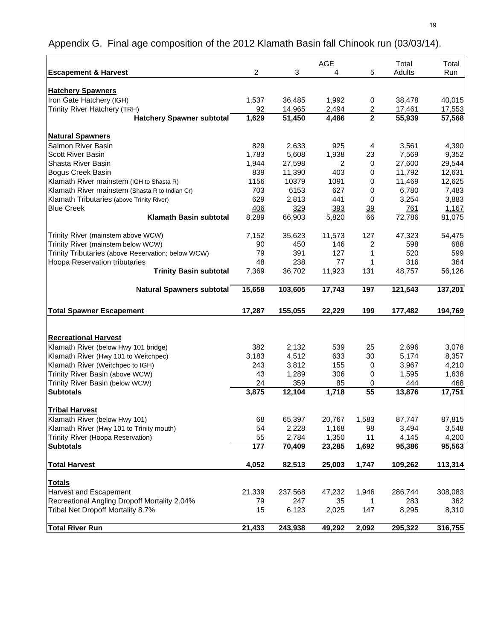|                                                    |           |         | AGE    |           | Total   | Total   |
|----------------------------------------------------|-----------|---------|--------|-----------|---------|---------|
| <b>Escapement &amp; Harvest</b>                    | 2         | 3       | 4      | 5         | Adults  | Run     |
|                                                    |           |         |        |           |         |         |
| <b>Hatchery Spawners</b>                           |           |         |        |           |         |         |
| Iron Gate Hatchery (IGH)                           | 1,537     | 36,485  | 1,992  | 0         | 38,478  | 40,015  |
| Trinity River Hatchery (TRH)                       | 92        | 14,965  | 2,494  | 2         | 17,461  | 17,553  |
| <b>Hatchery Spawner subtotal</b>                   | 1,629     | 51,450  | 4,486  | 2         | 55,939  | 57,568  |
|                                                    |           |         |        |           |         |         |
| <b>Natural Spawners</b>                            |           |         |        |           |         |         |
| Salmon River Basin                                 | 829       | 2,633   | 925    | 4         | 3,561   | 4,390   |
| <b>Scott River Basin</b>                           | 1,783     | 5,608   | 1,938  | 23        | 7,569   | 9,352   |
| Shasta River Basin                                 | 1,944     | 27,598  | 2      | 0         | 27,600  | 29,544  |
| Bogus Creek Basin                                  | 839       | 11,390  | 403    | 0         | 11,792  | 12,631  |
| Klamath River mainstem (IGH to Shasta R)           | 1156      | 10379   | 1091   | 0         | 11,469  | 12,625  |
| Klamath River mainstem (Shasta R to Indian Cr)     | 703       | 6153    | 627    | 0         | 6,780   | 7,483   |
| Klamath Tributaries (above Trinity River)          | 629       | 2,813   | 441    | 0         | 3,254   | 3,883   |
| <b>Blue Creek</b>                                  | 406       | 329     | 393    | <u>39</u> | 761     | 1,167   |
| <b>Klamath Basin subtotal</b>                      | 8,289     | 66,903  | 5,820  | 66        | 72,786  | 81,075  |
| Trinity River (mainstem above WCW)                 | 7,152     | 35,623  | 11,573 | 127       | 47,323  | 54,475  |
| Trinity River (mainstem below WCW)                 | 90        | 450     | 146    | 2         | 598     | 688     |
| Trinity Tributaries (above Reservation; below WCW) | 79        | 391     | 127    | 1         | 520     | 599     |
| Hoopa Reservation tributaries                      | <u>48</u> | 238     | 77     | 1         | 316     | 364     |
| <b>Trinity Basin subtotal</b>                      | 7,369     | 36,702  | 11,923 | 131       | 48,757  | 56,126  |
|                                                    |           |         |        |           |         |         |
| <b>Natural Spawners subtotal</b>                   | 15,658    | 103,605 | 17,743 | 197       | 121,543 | 137,201 |
|                                                    |           |         |        |           |         |         |
| <b>Total Spawner Escapement</b>                    | 17,287    | 155,055 | 22,229 | 199       | 177,482 | 194,769 |
|                                                    |           |         |        |           |         |         |
| <b>Recreational Harvest</b>                        |           |         |        |           |         |         |
| Klamath River (below Hwy 101 bridge)               | 382       | 2,132   | 539    | 25        | 2,696   | 3,078   |
| Klamath River (Hwy 101 to Weitchpec)               | 3,183     | 4,512   | 633    | 30        | 5,174   | 8,357   |
| Klamath River (Weitchpec to IGH)                   | 243       | 3,812   | 155    | 0         | 3,967   | 4,210   |
| Trinity River Basin (above WCW)                    | 43        | 1,289   | 306    | 0         | 1,595   | 1,638   |
| Trinity River Basin (below WCW)                    | 24        | 359     | 85     | 0         | 444     | 468     |
| <b>Subtotals</b>                                   | 3,875     | 12,104  | 1,718  | 55        | 13,876  | 17,751  |
|                                                    |           |         |        |           |         |         |
| <b>Tribal Harvest</b>                              |           |         |        |           |         |         |
| Klamath River (below Hwy 101)                      | 68        | 65,397  | 20,767 | 1,583     | 87,747  | 87,815  |
| Klamath River (Hwy 101 to Trinity mouth)           | 54        | 2,228   | 1,168  | 98        | 3,494   | 3,548   |
| Trinity River (Hoopa Reservation)                  | 55        | 2,784   | 1,350  | 11        | 4,145   | 4,200   |
| <b>Subtotals</b>                                   | 177       | 70,409  | 23,285 | 1,692     | 95,386  | 95,563  |
| <b>Total Harvest</b>                               | 4,052     | 82,513  | 25,003 | 1,747     | 109,262 | 113,314 |
|                                                    |           |         |        |           |         |         |
| <b>Totals</b>                                      |           |         |        |           |         |         |
| Harvest and Escapement                             | 21,339    | 237,568 | 47,232 | 1,946     | 286,744 | 308,083 |
| Recreational Angling Dropoff Mortality 2.04%       | 79        | 247     | 35     | 1         | 283     | 362     |
| Tribal Net Dropoff Mortality 8.7%                  | 15        | 6,123   | 2,025  | 147       | 8,295   | 8,310   |
| <b>Total River Run</b>                             | 21,433    | 243,938 | 49,292 | 2,092     | 295,322 | 316,755 |

# Appendix G. Final age composition of the 2012 Klamath Basin fall Chinook run (03/03/14).